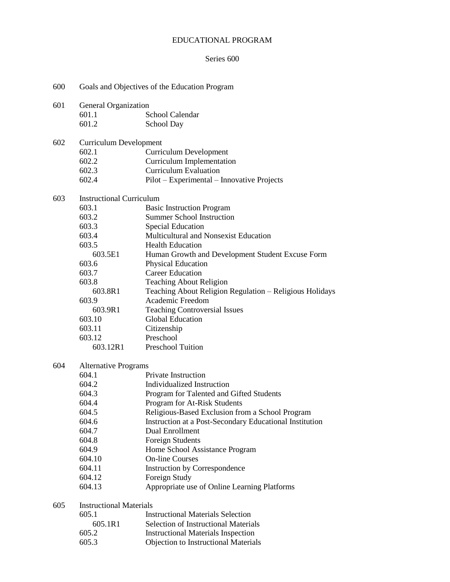# EDUCATIONAL PROGRAM

# Series 600

| 600 | Goals and Objectives of the Education Program |                                                         |  |  |  |  |
|-----|-----------------------------------------------|---------------------------------------------------------|--|--|--|--|
| 601 | General Organization                          |                                                         |  |  |  |  |
|     | 601.1                                         | School Calendar                                         |  |  |  |  |
|     | 601.2                                         | School Day                                              |  |  |  |  |
| 602 |                                               | <b>Curriculum Development</b>                           |  |  |  |  |
|     | 602.1                                         | <b>Curriculum Development</b>                           |  |  |  |  |
|     | 602.2                                         | <b>Curriculum Implementation</b>                        |  |  |  |  |
|     | 602.3                                         | <b>Curriculum Evaluation</b>                            |  |  |  |  |
|     | 602.4                                         | Pilot – Experimental – Innovative Projects              |  |  |  |  |
| 603 | <b>Instructional Curriculum</b>               |                                                         |  |  |  |  |
|     | 603.1                                         | <b>Basic Instruction Program</b>                        |  |  |  |  |
|     | 603.2                                         | <b>Summer School Instruction</b>                        |  |  |  |  |
|     | 603.3                                         | <b>Special Education</b>                                |  |  |  |  |
|     | 603.4                                         | Multicultural and Nonsexist Education                   |  |  |  |  |
|     | 603.5                                         | <b>Health Education</b>                                 |  |  |  |  |
|     | 603.5E1                                       | Human Growth and Development Student Excuse Form        |  |  |  |  |
|     | 603.6                                         | Physical Education                                      |  |  |  |  |
|     | 603.7                                         | <b>Career Education</b>                                 |  |  |  |  |
|     | 603.8                                         | <b>Teaching About Religion</b>                          |  |  |  |  |
|     | 603.8R1                                       | Teaching About Religion Regulation - Religious Holidays |  |  |  |  |
|     | 603.9                                         | Academic Freedom                                        |  |  |  |  |
|     | 603.9R1                                       | <b>Teaching Controversial Issues</b>                    |  |  |  |  |
|     | 603.10                                        | Global Education                                        |  |  |  |  |
|     | 603.11                                        | Citizenship                                             |  |  |  |  |
|     | 603.12                                        | Preschool                                               |  |  |  |  |
|     | 603.12R1                                      | <b>Preschool Tuition</b>                                |  |  |  |  |
| 604 |                                               |                                                         |  |  |  |  |
|     | <b>Alternative Programs</b><br>604.1          | <b>Private Instruction</b>                              |  |  |  |  |
|     | 604.2                                         | Individualized Instruction                              |  |  |  |  |
|     |                                               |                                                         |  |  |  |  |
|     | 604.3                                         | Program for Talented and Gifted Students                |  |  |  |  |
|     | 604.4                                         | Program for At-Risk Students                            |  |  |  |  |
|     | 604.5                                         | Religious-Based Exclusion from a School Program         |  |  |  |  |
|     | 604.6                                         | Instruction at a Post-Secondary Educational Institution |  |  |  |  |
|     | 604.7                                         | Dual Enrollment                                         |  |  |  |  |
|     | 604.8                                         | <b>Foreign Students</b>                                 |  |  |  |  |
|     | 604.9                                         | Home School Assistance Program                          |  |  |  |  |
|     | 604.10                                        | <b>On-line Courses</b>                                  |  |  |  |  |
|     | 604.11                                        | Instruction by Correspondence                           |  |  |  |  |
|     | 604.12                                        | Foreign Study                                           |  |  |  |  |
|     | 604.13                                        | Appropriate use of Online Learning Platforms            |  |  |  |  |
| 605 | <b>Instructional Materials</b>                |                                                         |  |  |  |  |
|     | 605.1                                         | <b>Instructional Materials Selection</b>                |  |  |  |  |
|     | 605.1R1                                       | <b>Selection of Instructional Materials</b>             |  |  |  |  |
|     | 605.2                                         | <b>Instructional Materials Inspection</b>               |  |  |  |  |
|     | 605.3                                         | <b>Objection to Instructional Materials</b>             |  |  |  |  |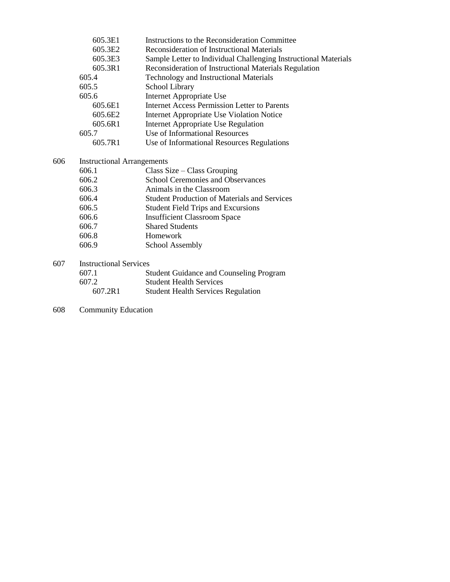|     | 605.3E1                           | Instructions to the Reconsideration Committee                   |  |  |
|-----|-----------------------------------|-----------------------------------------------------------------|--|--|
|     | 605.3E2                           | Reconsideration of Instructional Materials                      |  |  |
|     | 605.3E3                           | Sample Letter to Individual Challenging Instructional Materials |  |  |
|     | 605.3R1                           | Reconsideration of Instructional Materials Regulation           |  |  |
|     | 605.4                             | <b>Technology and Instructional Materials</b>                   |  |  |
|     | 605.5                             | School Library                                                  |  |  |
|     | 605.6                             | Internet Appropriate Use                                        |  |  |
|     | 605.6E1                           | <b>Internet Access Permission Letter to Parents</b>             |  |  |
|     | 605.6E2                           | Internet Appropriate Use Violation Notice                       |  |  |
|     | 605.6R1                           | Internet Appropriate Use Regulation                             |  |  |
|     | 605.7                             | Use of Informational Resources                                  |  |  |
|     | 605.7R1                           | Use of Informational Resources Regulations                      |  |  |
| 606 | <b>Instructional Arrangements</b> |                                                                 |  |  |
|     | 606.1                             | Class Size $-$ Class Grouping                                   |  |  |
|     | 606.2                             | <b>School Ceremonies and Observances</b>                        |  |  |
|     | 606.3                             | Animals in the Classroom                                        |  |  |
|     | 606.4                             | <b>Student Production of Materials and Services</b>             |  |  |
|     | 606.5                             | <b>Student Field Trips and Excursions</b>                       |  |  |
|     | 606.6                             | <b>Insufficient Classroom Space</b>                             |  |  |
|     | 606.7                             | <b>Shared Students</b>                                          |  |  |
|     | 606.8                             | Homework                                                        |  |  |
|     | 606.9                             | <b>School Assembly</b>                                          |  |  |
| 607 | <b>Instructional Services</b>     |                                                                 |  |  |
|     | 607.1                             | <b>Student Guidance and Counseling Program</b>                  |  |  |
|     | 607.2                             | <b>Student Health Services</b>                                  |  |  |
|     |                                   |                                                                 |  |  |

- 607.2R1 Student Health Services Regulation
- 608 Community Education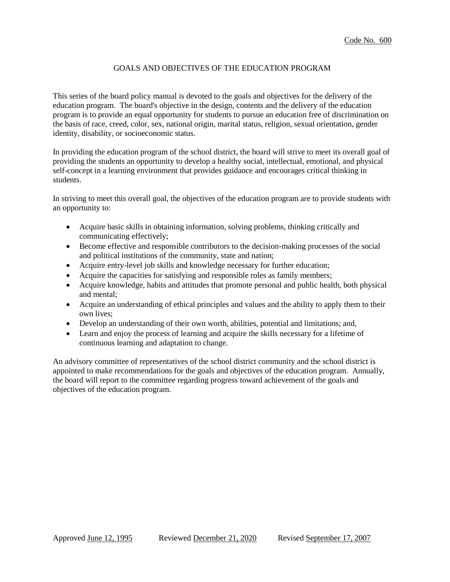## GOALS AND OBJECTIVES OF THE EDUCATION PROGRAM

This series of the board policy manual is devoted to the goals and objectives for the delivery of the education program. The board's objective in the design, contents and the delivery of the education program is to provide an equal opportunity for students to pursue an education free of discrimination on the basis of race, creed, color, sex, national origin, marital status, religion, sexual orientation, gender identity, disability, or socioeconomic status.

In providing the education program of the school district, the board will strive to meet its overall goal of providing the students an opportunity to develop a healthy social, intellectual, emotional, and physical self-concept in a learning environment that provides guidance and encourages critical thinking in students.

In striving to meet this overall goal, the objectives of the education program are to provide students with an opportunity to:

- Acquire basic skills in obtaining information, solving problems, thinking critically and communicating effectively;
- Become effective and responsible contributors to the decision-making processes of the social and political institutions of the community, state and nation;
- Acquire entry-level job skills and knowledge necessary for further education;
- Acquire the capacities for satisfying and responsible roles as family members;
- Acquire knowledge, habits and attitudes that promote personal and public health, both physical and mental;
- Acquire an understanding of ethical principles and values and the ability to apply them to their own lives;
- Develop an understanding of their own worth, abilities, potential and limitations; and,
- Learn and enjoy the process of learning and acquire the skills necessary for a lifetime of continuous learning and adaptation to change.

An advisory committee of representatives of the school district community and the school district is appointed to make recommendations for the goals and objectives of the education program. Annually, the board will report to the committee regarding progress toward achievement of the goals and objectives of the education program.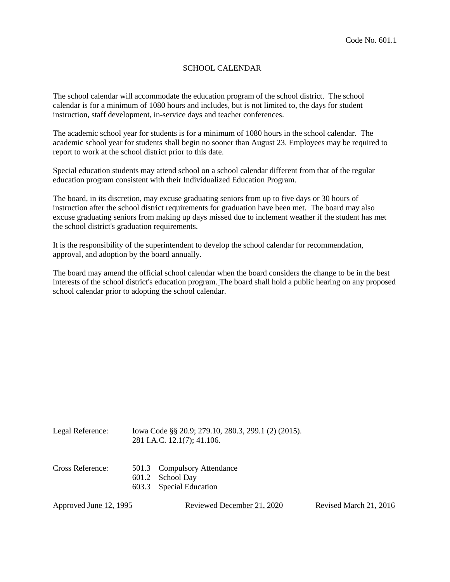## SCHOOL CALENDAR

The school calendar will accommodate the education program of the school district. The school calendar is for a minimum of 1080 hours and includes, but is not limited to, the days for student instruction, staff development, in-service days and teacher conferences.

The academic school year for students is for a minimum of 1080 hours in the school calendar. The academic school year for students shall begin no sooner than August 23. Employees may be required to report to work at the school district prior to this date.

Special education students may attend school on a school calendar different from that of the regular education program consistent with their Individualized Education Program.

The board, in its discretion, may excuse graduating seniors from up to five days or 30 hours of instruction after the school district requirements for graduation have been met. The board may also excuse graduating seniors from making up days missed due to inclement weather if the student has met the school district's graduation requirements.

It is the responsibility of the superintendent to develop the school calendar for recommendation, approval, and adoption by the board annually.

The board may amend the official school calendar when the board considers the change to be in the best interests of the school district's education program. The board shall hold a public hearing on any proposed school calendar prior to adopting the school calendar.

| Legal Reference: | Iowa Code §§ 20.9; 279.10, 280.3, 299.1 (2) (2015).<br>281 I.A.C. 12.1(7); 41.106. |
|------------------|------------------------------------------------------------------------------------|
|                  |                                                                                    |

| Cross Reference: | 501.3 Compulsory Attendance |
|------------------|-----------------------------|
|                  | 601.2 School Day            |
|                  | 603.3 Special Education     |
|                  |                             |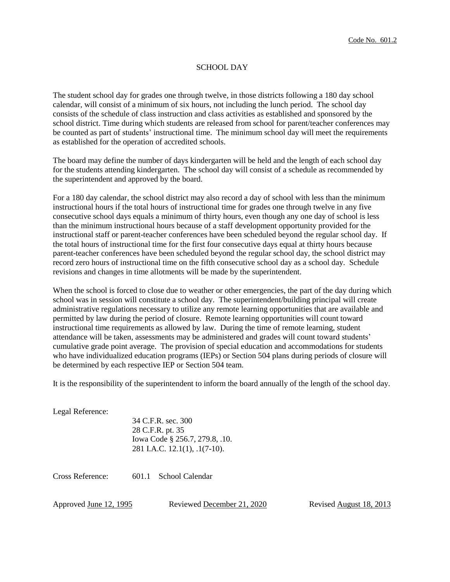### SCHOOL DAY

The student school day for grades one through twelve, in those districts following a 180 day school calendar, will consist of a minimum of six hours, not including the lunch period. The school day consists of the schedule of class instruction and class activities as established and sponsored by the school district. Time during which students are released from school for parent/teacher conferences may be counted as part of students' instructional time. The minimum school day will meet the requirements as established for the operation of accredited schools.

The board may define the number of days kindergarten will be held and the length of each school day for the students attending kindergarten. The school day will consist of a schedule as recommended by the superintendent and approved by the board.

For a 180 day calendar, the school district may also record a day of school with less than the minimum instructional hours if the total hours of instructional time for grades one through twelve in any five consecutive school days equals a minimum of thirty hours, even though any one day of school is less than the minimum instructional hours because of a staff development opportunity provided for the instructional staff or parent-teacher conferences have been scheduled beyond the regular school day. If the total hours of instructional time for the first four consecutive days equal at thirty hours because parent-teacher conferences have been scheduled beyond the regular school day, the school district may record zero hours of instructional time on the fifth consecutive school day as a school day. Schedule revisions and changes in time allotments will be made by the superintendent.

When the school is forced to close due to weather or other emergencies, the part of the day during which school was in session will constitute a school day. The superintendent/building principal will create administrative regulations necessary to utilize any remote learning opportunities that are available and permitted by law during the period of closure. Remote learning opportunities will count toward instructional time requirements as allowed by law. During the time of remote learning, student attendance will be taken, assessments may be administered and grades will count toward students' cumulative grade point average. The provision of special education and accommodations for students who have individualized education programs (IEPs) or Section 504 plans during periods of closure will be determined by each respective IEP or Section 504 team.

It is the responsibility of the superintendent to inform the board annually of the length of the school day.

Legal Reference:

34 C.F.R. sec. 300 28 C.F.R. pt. 35 Iowa Code § 256.7, 279.8, .10. 281 I.A.C. 12.1(1), .1(7-10).

Cross Reference: 601.1 School Calendar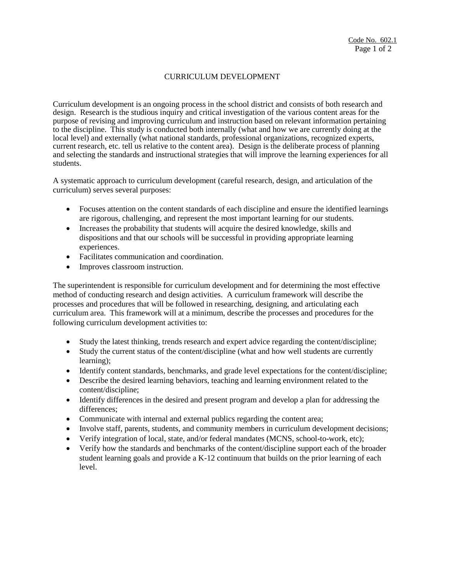## CURRICULUM DEVELOPMENT

Curriculum development is an ongoing process in the school district and consists of both research and design. Research is the studious inquiry and critical investigation of the various content areas for the purpose of revising and improving curriculum and instruction based on relevant information pertaining to the discipline. This study is conducted both internally (what and how we are currently doing at the local level) and externally (what national standards, professional organizations, recognized experts, current research, etc. tell us relative to the content area). Design is the deliberate process of planning and selecting the standards and instructional strategies that will improve the learning experiences for all students.

A systematic approach to curriculum development (careful research, design, and articulation of the curriculum) serves several purposes:

- Focuses attention on the content standards of each discipline and ensure the identified learnings are rigorous, challenging, and represent the most important learning for our students.
- Increases the probability that students will acquire the desired knowledge, skills and dispositions and that our schools will be successful in providing appropriate learning experiences.
- Facilitates communication and coordination.
- Improves classroom instruction.

The superintendent is responsible for curriculum development and for determining the most effective method of conducting research and design activities. A curriculum framework will describe the processes and procedures that will be followed in researching, designing, and articulating each curriculum area. This framework will at a minimum, describe the processes and procedures for the following curriculum development activities to:

- Study the latest thinking, trends research and expert advice regarding the content/discipline;
- Study the current status of the content/discipline (what and how well students are currently learning);
- Identify content standards, benchmarks, and grade level expectations for the content/discipline;
- Describe the desired learning behaviors, teaching and learning environment related to the content/discipline;
- Identify differences in the desired and present program and develop a plan for addressing the differences;
- Communicate with internal and external publics regarding the content area;
- Involve staff, parents, students, and community members in curriculum development decisions;
- Verify integration of local, state, and/or federal mandates (MCNS, school-to-work, etc);
- Verify how the standards and benchmarks of the content/discipline support each of the broader student learning goals and provide a K-12 continuum that builds on the prior learning of each level.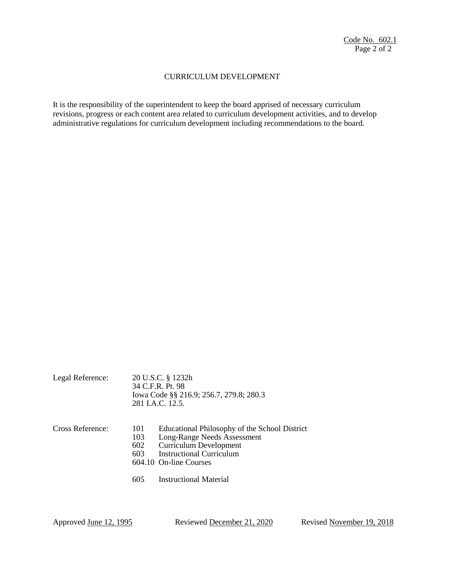## CURRICULUM DEVELOPMENT

It is the responsibility of the superintendent to keep the board apprised of necessary curriculum revisions, progress or each content area related to curriculum development activities, and to develop administrative regulations for curriculum development including recommendations to the board.

| Legal Reference: |                          | 20 U.S.C. § 1232h<br>34 C.F.R. Pt. 98<br>Iowa Code §§ 216.9; 256.7, 279.8; 280.3<br>281 J.A.C. 12.5.                                                                |  |
|------------------|--------------------------|---------------------------------------------------------------------------------------------------------------------------------------------------------------------|--|
| Cross Reference: | 101<br>103<br>602<br>603 | Educational Philosophy of the School District<br>Long-Range Needs Assessment<br><b>Curriculum Development</b><br>Instructional Curriculum<br>604.10 On-line Courses |  |
|                  | 605                      | Instructional Material                                                                                                                                              |  |

Approved June 12, 1995 Reviewed December 21, 2020 Revised November 19, 2018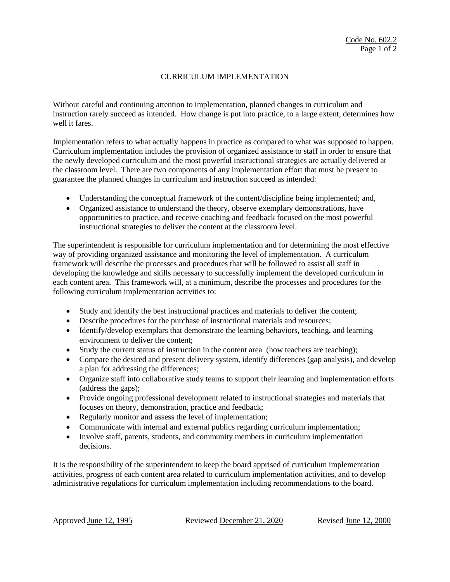## CURRICULUM IMPLEMENTATION

Without careful and continuing attention to implementation, planned changes in curriculum and instruction rarely succeed as intended. How change is put into practice, to a large extent, determines how well it fares.

Implementation refers to what actually happens in practice as compared to what was supposed to happen. Curriculum implementation includes the provision of organized assistance to staff in order to ensure that the newly developed curriculum and the most powerful instructional strategies are actually delivered at the classroom level. There are two components of any implementation effort that must be present to guarantee the planned changes in curriculum and instruction succeed as intended:

- Understanding the conceptual framework of the content/discipline being implemented; and,
- Organized assistance to understand the theory, observe exemplary demonstrations, have opportunities to practice, and receive coaching and feedback focused on the most powerful instructional strategies to deliver the content at the classroom level.

The superintendent is responsible for curriculum implementation and for determining the most effective way of providing organized assistance and monitoring the level of implementation. A curriculum framework will describe the processes and procedures that will be followed to assist all staff in developing the knowledge and skills necessary to successfully implement the developed curriculum in each content area. This framework will, at a minimum, describe the processes and procedures for the following curriculum implementation activities to:

- Study and identify the best instructional practices and materials to deliver the content;
- Describe procedures for the purchase of instructional materials and resources;
- Identify/develop exemplars that demonstrate the learning behaviors, teaching, and learning environment to deliver the content;
- Study the current status of instruction in the content area (how teachers are teaching);
- Compare the desired and present delivery system, identify differences (gap analysis), and develop a plan for addressing the differences;
- Organize staff into collaborative study teams to support their learning and implementation efforts (address the gaps);
- Provide ongoing professional development related to instructional strategies and materials that focuses on theory, demonstration, practice and feedback;
- Regularly monitor and assess the level of implementation;
- Communicate with internal and external publics regarding curriculum implementation;
- Involve staff, parents, students, and community members in curriculum implementation decisions.

It is the responsibility of the superintendent to keep the board apprised of curriculum implementation activities, progress of each content area related to curriculum implementation activities, and to develop administrative regulations for curriculum implementation including recommendations to the board.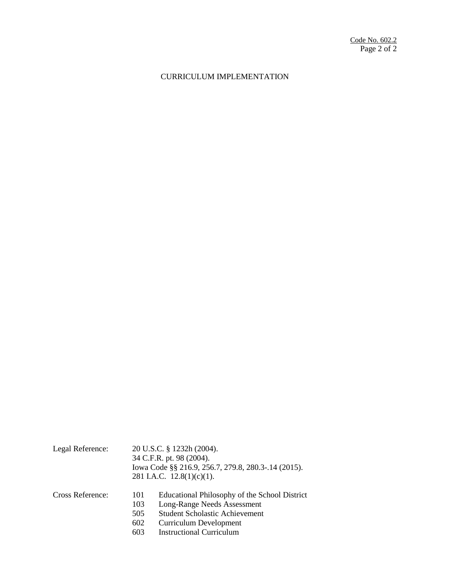# CURRICULUM IMPLEMENTATION

| Legal Reference: | 20 U.S.C. § 1232h (2004).<br>34 C.F.R. pt. 98 (2004).<br>Iowa Code §§ 216.9, 256.7, 279.8, 280.3-.14 (2015).<br>281 I.A.C. $12.8(1)(c)(1)$ .                                                                                 |  |
|------------------|------------------------------------------------------------------------------------------------------------------------------------------------------------------------------------------------------------------------------|--|
| Cross Reference: | Educational Philosophy of the School District<br>101<br>Long-Range Needs Assessment<br>103<br><b>Student Scholastic Achievement</b><br>505<br>602<br><b>Curriculum Development</b><br><b>Instructional Curriculum</b><br>603 |  |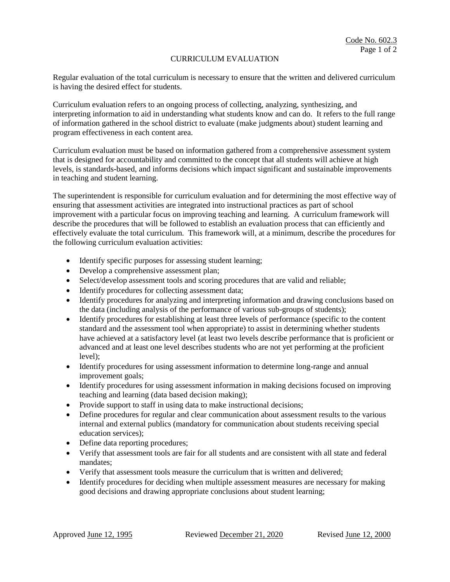## CURRICULUM EVALUATION

Regular evaluation of the total curriculum is necessary to ensure that the written and delivered curriculum is having the desired effect for students.

Curriculum evaluation refers to an ongoing process of collecting, analyzing, synthesizing, and interpreting information to aid in understanding what students know and can do. It refers to the full range of information gathered in the school district to evaluate (make judgments about) student learning and program effectiveness in each content area.

Curriculum evaluation must be based on information gathered from a comprehensive assessment system that is designed for accountability and committed to the concept that all students will achieve at high levels, is standards-based, and informs decisions which impact significant and sustainable improvements in teaching and student learning.

The superintendent is responsible for curriculum evaluation and for determining the most effective way of ensuring that assessment activities are integrated into instructional practices as part of school improvement with a particular focus on improving teaching and learning. A curriculum framework will describe the procedures that will be followed to establish an evaluation process that can efficiently and effectively evaluate the total curriculum. This framework will, at a minimum, describe the procedures for the following curriculum evaluation activities:

- Identify specific purposes for assessing student learning;
- Develop a comprehensive assessment plan;
- Select/develop assessment tools and scoring procedures that are valid and reliable;
- Identify procedures for collecting assessment data;
- Identify procedures for analyzing and interpreting information and drawing conclusions based on the data (including analysis of the performance of various sub-groups of students);
- Identify procedures for establishing at least three levels of performance (specific to the content standard and the assessment tool when appropriate) to assist in determining whether students have achieved at a satisfactory level (at least two levels describe performance that is proficient or advanced and at least one level describes students who are not yet performing at the proficient level);
- Identify procedures for using assessment information to determine long-range and annual improvement goals;
- Identify procedures for using assessment information in making decisions focused on improving teaching and learning (data based decision making);
- Provide support to staff in using data to make instructional decisions;
- Define procedures for regular and clear communication about assessment results to the various internal and external publics (mandatory for communication about students receiving special education services);
- Define data reporting procedures;
- Verify that assessment tools are fair for all students and are consistent with all state and federal mandates;
- Verify that assessment tools measure the curriculum that is written and delivered;
- Identify procedures for deciding when multiple assessment measures are necessary for making good decisions and drawing appropriate conclusions about student learning;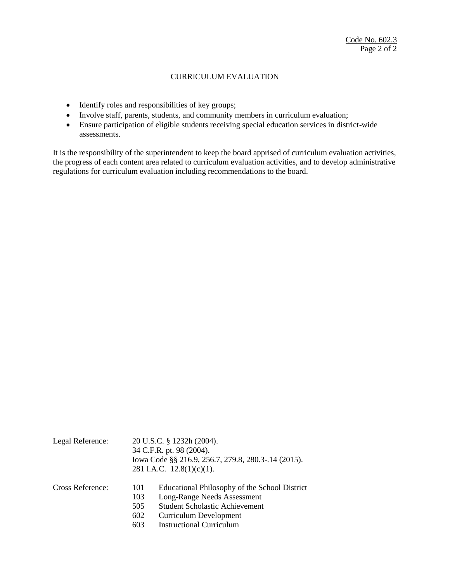## CURRICULUM EVALUATION

- Identify roles and responsibilities of key groups;
- Involve staff, parents, students, and community members in curriculum evaluation;
- Ensure participation of eligible students receiving special education services in district-wide assessments.

It is the responsibility of the superintendent to keep the board apprised of curriculum evaluation activities, the progress of each content area related to curriculum evaluation activities, and to develop administrative regulations for curriculum evaluation including recommendations to the board.

| Legal Reference: | 20 U.S.C. § 1232h (2004).<br>34 C.F.R. pt. 98 (2004).<br>Iowa Code §§ 216.9, 256.7, 279.8, 280.3-.14 (2015).<br>281 I.A.C. $12.8(1)(c)(1)$ . |                                                                                                                                                                                           |
|------------------|----------------------------------------------------------------------------------------------------------------------------------------------|-------------------------------------------------------------------------------------------------------------------------------------------------------------------------------------------|
| Cross Reference: | 101<br>103<br>505<br>602<br>603                                                                                                              | Educational Philosophy of the School District<br>Long-Range Needs Assessment<br><b>Student Scholastic Achievement</b><br><b>Curriculum Development</b><br><b>Instructional Curriculum</b> |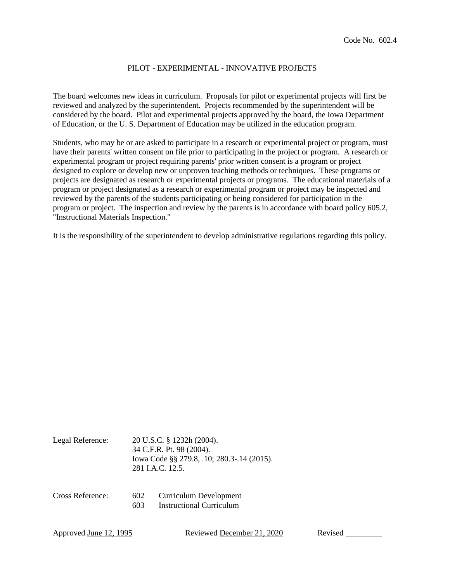## PILOT - EXPERIMENTAL - INNOVATIVE PROJECTS

The board welcomes new ideas in curriculum. Proposals for pilot or experimental projects will first be reviewed and analyzed by the superintendent. Projects recommended by the superintendent will be considered by the board. Pilot and experimental projects approved by the board, the Iowa Department of Education, or the U. S. Department of Education may be utilized in the education program.

Students, who may be or are asked to participate in a research or experimental project or program, must have their parents' written consent on file prior to participating in the project or program. A research or experimental program or project requiring parents' prior written consent is a program or project designed to explore or develop new or unproven teaching methods or techniques. These programs or projects are designated as research or experimental projects or programs. The educational materials of a program or project designated as a research or experimental program or project may be inspected and reviewed by the parents of the students participating or being considered for participation in the program or project. The inspection and review by the parents is in accordance with board policy 605.2, "Instructional Materials Inspection."

It is the responsibility of the superintendent to develop administrative regulations regarding this policy.

| Legal Reference: | 20 U.S.C. § 1232h (2004).<br>34 C.F.R. Pt. 98 (2004).<br>Iowa Code §§ 279.8, .10; 280.3-.14 (2015).<br>281 I.A.C. 12.5. |                                                           |
|------------------|-------------------------------------------------------------------------------------------------------------------------|-----------------------------------------------------------|
| Cross Reference: | 602<br>603                                                                                                              | Curriculum Development<br><b>Instructional Curriculum</b> |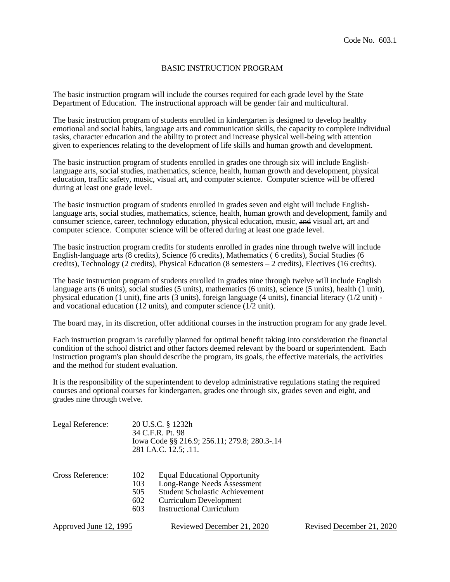### BASIC INSTRUCTION PROGRAM

The basic instruction program will include the courses required for each grade level by the State Department of Education. The instructional approach will be gender fair and multicultural.

The basic instruction program of students enrolled in kindergarten is designed to develop healthy emotional and social habits, language arts and communication skills, the capacity to complete individual tasks, character education and the ability to protect and increase physical well-being with attention given to experiences relating to the development of life skills and human growth and development.

The basic instruction program of students enrolled in grades one through six will include Englishlanguage arts, social studies, mathematics, science, health, human growth and development, physical education, traffic safety, music, visual art, and computer science. Computer science will be offered during at least one grade level.

The basic instruction program of students enrolled in grades seven and eight will include Englishlanguage arts, social studies, mathematics, science, health, human growth and development, family and consumer science, career, technology education, physical education, music, and visual art, art and computer science. Computer science will be offered during at least one grade level.

The basic instruction program credits for students enrolled in grades nine through twelve will include English-language arts (8 credits), Science (6 credits), Mathematics ( 6 credits), Social Studies (6 credits), Technology (2 credits), Physical Education (8 semesters – 2 credits), Electives (16 credits).

The basic instruction program of students enrolled in grades nine through twelve will include English language arts (6 units), social studies (5 units), mathematics (6 units), science (5 units), health (1 unit), physical education (1 unit), fine arts (3 units), foreign language (4 units), financial literacy (1/2 unit) and vocational education (12 units), and computer science (1/2 unit).

The board may, in its discretion, offer additional courses in the instruction program for any grade level.

Each instruction program is carefully planned for optimal benefit taking into consideration the financial condition of the school district and other factors deemed relevant by the board or superintendent. Each instruction program's plan should describe the program, its goals, the effective materials, the activities and the method for student evaluation.

It is the responsibility of the superintendent to develop administrative regulations stating the required courses and optional courses for kindergarten, grades one through six, grades seven and eight, and grades nine through twelve.

| Legal Reference: | 20 U.S.C. § 1232h<br>34 C.F.R. Pt. 98<br>Iowa Code §§ 216.9; 256.11; 279.8; 280.3-.14<br>281 I.A.C. 12.5; .11. |                                                                                                                                                                                  |
|------------------|----------------------------------------------------------------------------------------------------------------|----------------------------------------------------------------------------------------------------------------------------------------------------------------------------------|
| Cross Reference: | 102<br>103<br>505<br>602<br>603                                                                                | <b>Equal Educational Opportunity</b><br><b>Long-Range Needs Assessment</b><br><b>Student Scholastic Achievement</b><br><b>Curriculum Development</b><br>Instructional Curriculum |

Approved June 12, 1995 Reviewed December 21, 2020 Revised December 21, 2020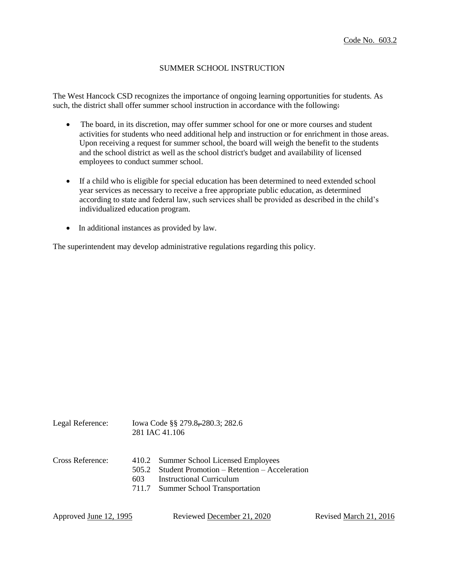### SUMMER SCHOOL INSTRUCTION

The West Hancock CSD recognizes the importance of ongoing learning opportunities for students. As such, the district shall offer summer school instruction in accordance with the following:

- The board, in its discretion, may offer summer school for one or more courses and student activities for students who need additional help and instruction or for enrichment in those areas. Upon receiving a request for summer school, the board will weigh the benefit to the students and the school district as well as the school district's budget and availability of licensed employees to conduct summer school.
- If a child who is eligible for special education has been determined to need extended school year services as necessary to receive a free appropriate public education, as determined according to state and federal law, such services shall be provided as described in the child's individualized education program.
- In additional instances as provided by law.

The superintendent may develop administrative regulations regarding this policy.

| $E_{\rm max}$ respective. |      | $10.048$ Court $3.3$ $1.210$ , $1.001$ , $1.001$<br>281 IAC 41.106                                                                                             |
|---------------------------|------|----------------------------------------------------------------------------------------------------------------------------------------------------------------|
| Cross Reference:          | 603. | 410.2 Summer School Licensed Employees<br>505.2 Student Promotion – Retention – Acceleration<br>Instructional Curriculum<br>711.7 Summer School Transportation |

Legal Reference:  $I_{\text{1.6}}$   $I_{\text{1.6}}$   $I_{\text{1.6}}$   $I_{\text{1.6}}$   $I_{\text{1.6}}$   $I_{\text{1.6}}$   $I_{\text{1.6}}$   $I_{\text{1.6}}$   $I_{\text{1.6}}$   $I_{\text{1.6}}$   $I_{\text{1.6}}$   $I_{\text{1.6}}$   $I_{\text{1.6}}$   $I_{\text{1.6}}$   $I_{\text{1.6}}$   $I_{\text{1.6}}$   $I_{\text{1.6}}$ 

| Approved <u>June 12, 1995</u> | Reviewed December 21, 2020 | Revised March 21, 2016 |
|-------------------------------|----------------------------|------------------------|
|-------------------------------|----------------------------|------------------------|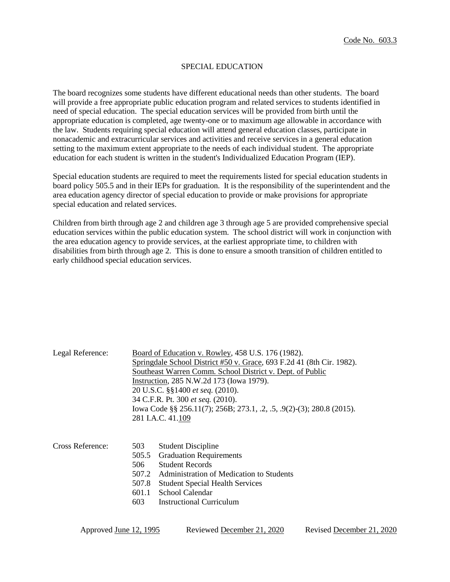### SPECIAL EDUCATION

The board recognizes some students have different educational needs than other students. The board will provide a free appropriate public education program and related services to students identified in need of special education. The special education services will be provided from birth until the appropriate education is completed, age twenty-one or to maximum age allowable in accordance with the law. Students requiring special education will attend general education classes, participate in nonacademic and extracurricular services and activities and receive services in a general education setting to the maximum extent appropriate to the needs of each individual student. The appropriate education for each student is written in the student's Individualized Education Program (IEP).

Special education students are required to meet the requirements listed for special education students in board policy 505.5 and in their IEPs for graduation. It is the responsibility of the superintendent and the area education agency director of special education to provide or make provisions for appropriate special education and related services.

Children from birth through age 2 and children age 3 through age 5 are provided comprehensive special education services within the public education system. The school district will work in conjunction with the area education agency to provide services, at the earliest appropriate time, to children with disabilities from birth through age 2. This is done to ensure a smooth transition of children entitled to early childhood special education services.

| Legal Reference: | Board of Education v. Rowley, 458 U.S. 176 (1982).                                                                |                                          |  |  |  |
|------------------|-------------------------------------------------------------------------------------------------------------------|------------------------------------------|--|--|--|
|                  | Springdale School District #50 v. Grace, 693 F.2d 41 (8th Cir. 1982).                                             |                                          |  |  |  |
|                  | Southeast Warren Comm. School District v. Dept. of Public                                                         |                                          |  |  |  |
|                  | Instruction, 285 N.W.2d 173 (Iowa 1979).<br>20 U.S.C. §§1400 et seq. (2010).<br>34 C.F.R. Pt. 300 et seq. (2010). |                                          |  |  |  |
|                  |                                                                                                                   |                                          |  |  |  |
|                  |                                                                                                                   |                                          |  |  |  |
|                  | lowa Code §§ 256.11(7); 256B; 273.1, .2, .5, .9(2)-(3); 280.8 (2015).                                             |                                          |  |  |  |
|                  |                                                                                                                   | 281 I.A.C. 41.109                        |  |  |  |
|                  |                                                                                                                   |                                          |  |  |  |
|                  |                                                                                                                   |                                          |  |  |  |
| Cross Reference: | 503                                                                                                               | <b>Student Discipline</b>                |  |  |  |
|                  | 505.5                                                                                                             | <b>Graduation Requirements</b>           |  |  |  |
|                  | 506.                                                                                                              | <b>Student Records</b>                   |  |  |  |
|                  | 507.2                                                                                                             | Administration of Medication to Students |  |  |  |
|                  | 507.8                                                                                                             | <b>Student Special Health Services</b>   |  |  |  |
|                  | 601.1                                                                                                             | School Calendar                          |  |  |  |
|                  | 603                                                                                                               | Instructional Curriculum                 |  |  |  |
|                  |                                                                                                                   |                                          |  |  |  |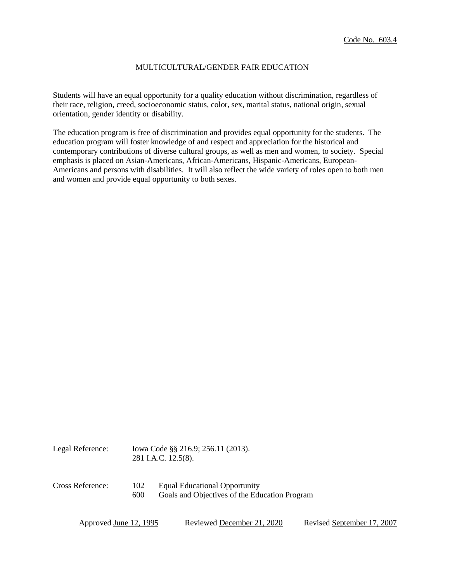### MULTICULTURAL/GENDER FAIR EDUCATION

Students will have an equal opportunity for a quality education without discrimination, regardless of their race, religion, creed, socioeconomic status, color, sex, marital status, national origin, sexual orientation, gender identity or disability.

The education program is free of discrimination and provides equal opportunity for the students. The education program will foster knowledge of and respect and appreciation for the historical and contemporary contributions of diverse cultural groups, as well as men and women, to society. Special emphasis is placed on Asian-Americans, African-Americans, Hispanic-Americans, European-Americans and persons with disabilities. It will also reflect the wide variety of roles open to both men and women and provide equal opportunity to both sexes.

| Legal Reference: | lowa Code §§ 216.9; 256.11 (2013).<br>281 I.A.C. 12.5(8). |                                                                                       |
|------------------|-----------------------------------------------------------|---------------------------------------------------------------------------------------|
| Cross Reference: | 102<br>600                                                | <b>Equal Educational Opportunity</b><br>Goals and Objectives of the Education Program |

| Approved June 12, 1995 | Reviewed December 21, 2020 | Revised September 17, 2007 |
|------------------------|----------------------------|----------------------------|
|------------------------|----------------------------|----------------------------|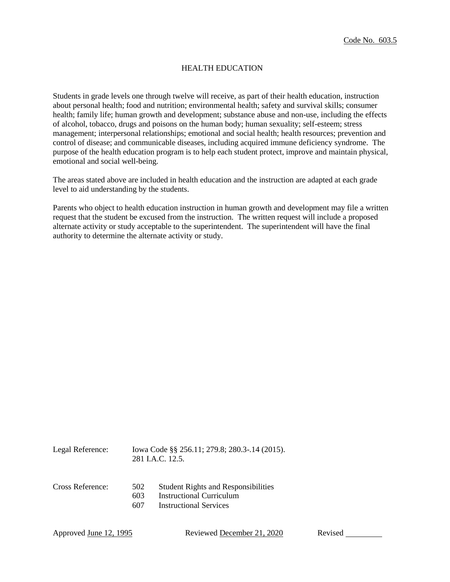## HEALTH EDUCATION

Students in grade levels one through twelve will receive, as part of their health education, instruction about personal health; food and nutrition; environmental health; safety and survival skills; consumer health; family life; human growth and development; substance abuse and non-use, including the effects of alcohol, tobacco, drugs and poisons on the human body; human sexuality; self-esteem; stress management; interpersonal relationships; emotional and social health; health resources; prevention and control of disease; and communicable diseases, including acquired immune deficiency syndrome. The purpose of the health education program is to help each student protect, improve and maintain physical, emotional and social well-being.

The areas stated above are included in health education and the instruction are adapted at each grade level to aid understanding by the students.

Parents who object to health education instruction in human growth and development may file a written request that the student be excused from the instruction. The written request will include a proposed alternate activity or study acceptable to the superintendent. The superintendent will have the final authority to determine the alternate activity or study.

| Legal Reference: |                   | Iowa Code §§ 256.11; 279.8; 280.3-.14 (2015).<br>281 J.A.C. 12.5.                                |
|------------------|-------------------|--------------------------------------------------------------------------------------------------|
| Cross Reference: | 502<br>603<br>607 | <b>Student Rights and Responsibilities</b><br>Instructional Curriculum<br>Instructional Services |
|                  |                   |                                                                                                  |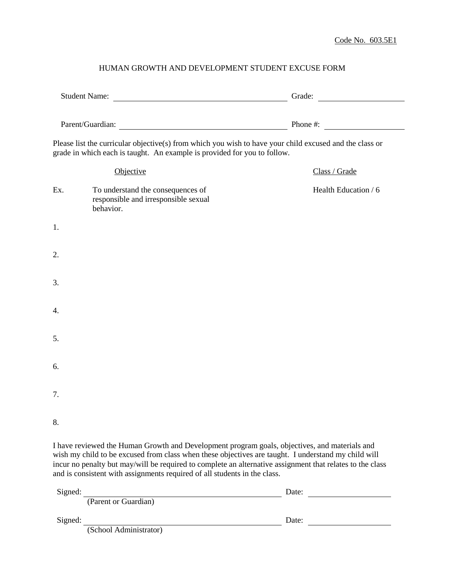## HUMAN GROWTH AND DEVELOPMENT STUDENT EXCUSE FORM

|         |                                                                                                                                                                                                                                                                                                                                                                                                | Grade:                        |  |  |
|---------|------------------------------------------------------------------------------------------------------------------------------------------------------------------------------------------------------------------------------------------------------------------------------------------------------------------------------------------------------------------------------------------------|-------------------------------|--|--|
|         | Parent/Guardian: Parent/Guardian:                                                                                                                                                                                                                                                                                                                                                              |                               |  |  |
|         | Please list the curricular objective(s) from which you wish to have your child excused and the class or<br>grade in which each is taught. An example is provided for you to follow.                                                                                                                                                                                                            |                               |  |  |
|         | Objective                                                                                                                                                                                                                                                                                                                                                                                      | Class / Grade                 |  |  |
| Ex.     | To understand the consequences of<br>responsible and irresponsible sexual<br>behavior.                                                                                                                                                                                                                                                                                                         | Health Education / 6          |  |  |
| 1.      |                                                                                                                                                                                                                                                                                                                                                                                                |                               |  |  |
| 2.      |                                                                                                                                                                                                                                                                                                                                                                                                |                               |  |  |
| 3.      |                                                                                                                                                                                                                                                                                                                                                                                                |                               |  |  |
| 4.      |                                                                                                                                                                                                                                                                                                                                                                                                |                               |  |  |
| 5.      |                                                                                                                                                                                                                                                                                                                                                                                                |                               |  |  |
| 6.      |                                                                                                                                                                                                                                                                                                                                                                                                |                               |  |  |
| 7.      |                                                                                                                                                                                                                                                                                                                                                                                                |                               |  |  |
| 8.      |                                                                                                                                                                                                                                                                                                                                                                                                |                               |  |  |
|         | I have reviewed the Human Growth and Development program goals, objectives, and materials and<br>wish my child to be excused from class when these objectives are taught. I understand my child will<br>incur no penalty but may/will be required to complete an alternative assignment that relates to the class<br>and is consistent with assignments required of all students in the class. |                               |  |  |
| Sioned' |                                                                                                                                                                                                                                                                                                                                                                                                | $\mathbf{D}$ ate <sup>+</sup> |  |  |

| Signed: |                        | Date: |  |
|---------|------------------------|-------|--|
|         | (Parent or Guardian)   |       |  |
| Signed: |                        | Date: |  |
|         | (School Administrator) |       |  |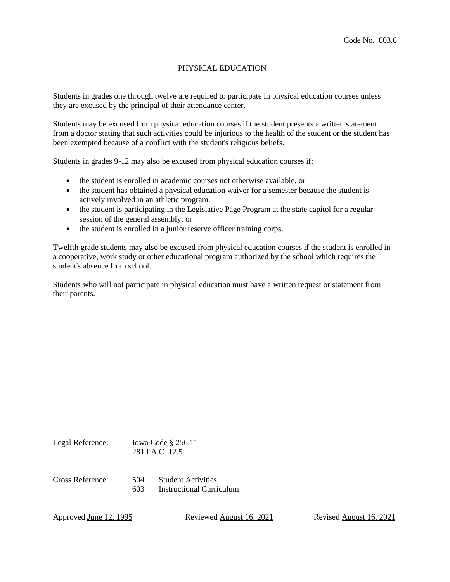## PHYSICAL EDUCATION

Students in grades one through twelve are required to participate in physical education courses unless they are excused by the principal of their attendance center.

Students may be excused from physical education courses if the student presents a written statement from a doctor stating that such activities could be injurious to the health of the student or the student has been exempted because of a conflict with the student's religious beliefs.

Students in grades 9-12 may also be excused from physical education courses if:

- the student is enrolled in academic courses not otherwise available, or
- the student has obtained a physical education waiver for a semester because the student is actively involved in an athletic program.
- the student is participating in the Legislative Page Program at the state capitol for a regular session of the general assembly; or
- the student is enrolled in a junior reserve officer training corps.

Twelfth grade students may also be excused from physical education courses if the student is enrolled in a cooperative, work study or other educational program authorized by the school which requires the student's absence from school.

Students who will not participate in physical education must have a written request or statement from their parents.

| Legal Reference: |            | Iowa Code $\S$ 256.11<br>281 J.A.C. 12.5.             |
|------------------|------------|-------------------------------------------------------|
| Cross Reference: | 504<br>603 | <b>Student Activities</b><br>Instructional Curriculum |

Approved June 12, 1995 Reviewed August 16, 2021 Revised August 16, 2021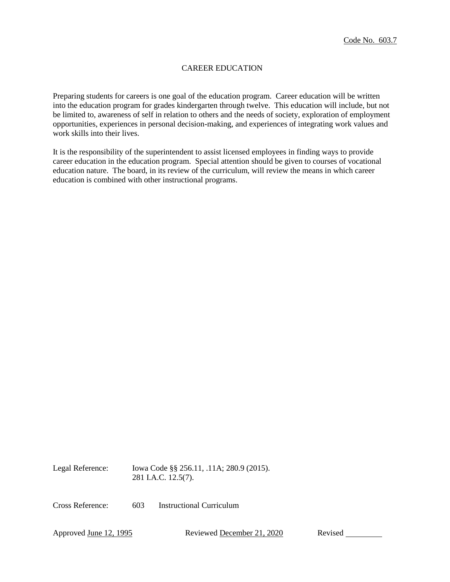## CAREER EDUCATION

Preparing students for careers is one goal of the education program. Career education will be written into the education program for grades kindergarten through twelve. This education will include, but not be limited to, awareness of self in relation to others and the needs of society, exploration of employment opportunities, experiences in personal decision-making, and experiences of integrating work values and work skills into their lives.

It is the responsibility of the superintendent to assist licensed employees in finding ways to provide career education in the education program. Special attention should be given to courses of vocational education nature. The board, in its review of the curriculum, will review the means in which career education is combined with other instructional programs.

Legal Reference: Iowa Code §§ 256.11, .11A; 280.9 (2015). 281 I.A.C. 12.5(7).

Cross Reference: 603 Instructional Curriculum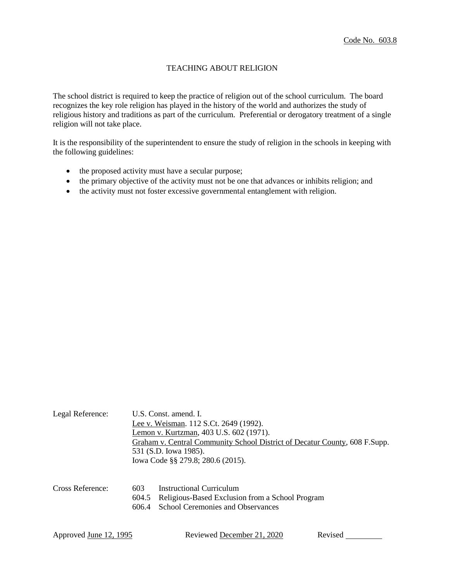## TEACHING ABOUT RELIGION

The school district is required to keep the practice of religion out of the school curriculum. The board recognizes the key role religion has played in the history of the world and authorizes the study of religious history and traditions as part of the curriculum. Preferential or derogatory treatment of a single religion will not take place.

It is the responsibility of the superintendent to ensure the study of religion in the schools in keeping with the following guidelines:

- the proposed activity must have a secular purpose;
- the primary objective of the activity must not be one that advances or inhibits religion; and
- the activity must not foster excessive governmental entanglement with religion.

| Legal Reference: | U.S. Const. amend. I.<br>Lee v. Weisman. 112 S.Ct. 2649 (1992).<br>Lemon v. Kurtzman, 403 U.S. 602 (1971).<br>Graham v. Central Community School District of Decatur County, 608 F.Supp.<br>531 (S.D. Iowa 1985).<br>Iowa Code §§ 279.8; 280.6 (2015). |
|------------------|--------------------------------------------------------------------------------------------------------------------------------------------------------------------------------------------------------------------------------------------------------|
| Cross Reference: | Instructional Curriculum<br>603<br>Religious-Based Exclusion from a School Program<br>604.5<br>School Ceremonies and Observances<br>606.4                                                                                                              |

| Approved <u>June 12, 1995</u> | Reviewed December 21, 2020 | Revised |
|-------------------------------|----------------------------|---------|
|                               |                            |         |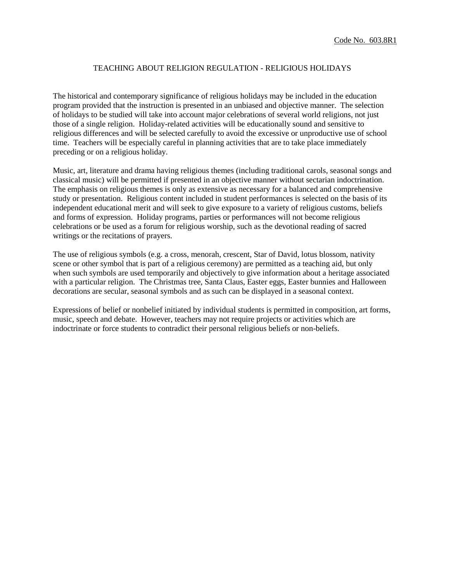### TEACHING ABOUT RELIGION REGULATION - RELIGIOUS HOLIDAYS

The historical and contemporary significance of religious holidays may be included in the education program provided that the instruction is presented in an unbiased and objective manner. The selection of holidays to be studied will take into account major celebrations of several world religions, not just those of a single religion. Holiday-related activities will be educationally sound and sensitive to religious differences and will be selected carefully to avoid the excessive or unproductive use of school time. Teachers will be especially careful in planning activities that are to take place immediately preceding or on a religious holiday.

Music, art, literature and drama having religious themes (including traditional carols, seasonal songs and classical music) will be permitted if presented in an objective manner without sectarian indoctrination. The emphasis on religious themes is only as extensive as necessary for a balanced and comprehensive study or presentation. Religious content included in student performances is selected on the basis of its independent educational merit and will seek to give exposure to a variety of religious customs, beliefs and forms of expression. Holiday programs, parties or performances will not become religious celebrations or be used as a forum for religious worship, such as the devotional reading of sacred writings or the recitations of prayers.

The use of religious symbols (e.g. a cross, menorah, crescent, Star of David, lotus blossom, nativity scene or other symbol that is part of a religious ceremony) are permitted as a teaching aid, but only when such symbols are used temporarily and objectively to give information about a heritage associated with a particular religion. The Christmas tree, Santa Claus, Easter eggs, Easter bunnies and Halloween decorations are secular, seasonal symbols and as such can be displayed in a seasonal context.

Expressions of belief or nonbelief initiated by individual students is permitted in composition, art forms, music, speech and debate. However, teachers may not require projects or activities which are indoctrinate or force students to contradict their personal religious beliefs or non-beliefs.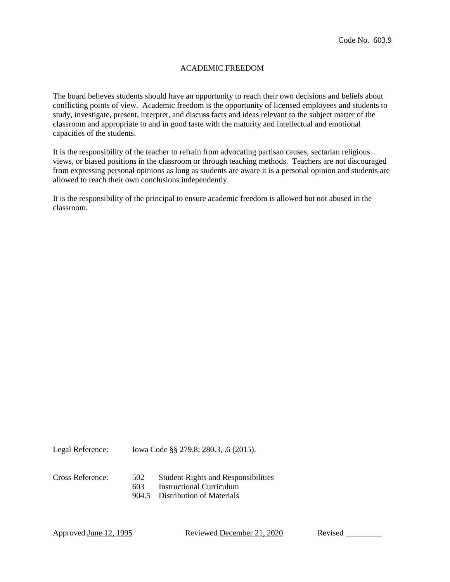## ACADEMIC FREEDOM

The board believes students should have an opportunity to reach their own decisions and beliefs about conflicting points of view. Academic freedom is the opportunity of licensed employees and students to study, investigate, present, interpret, and discuss facts and ideas relevant to the subject matter of the classroom and appropriate to and in good taste with the maturity and intellectual and emotional capacities of the students.

It is the responsibility of the teacher to refrain from advocating partisan causes, sectarian religious views, or biased positions in the classroom or through teaching methods. Teachers are not discouraged from expressing personal opinions as long as students are aware it is a personal opinion and students are allowed to reach their own conclusions independently.

It is the responsibility of the principal to ensure academic freedom is allowed but not abused in the classroom.

Legal Reference: Iowa Code §§ 279.8; 280.3, .6 (2015).

- Cross Reference: 502 Student Rights and Responsibilities
	- 603 Instructional Curriculum
	- 904.5 Distribution of Materials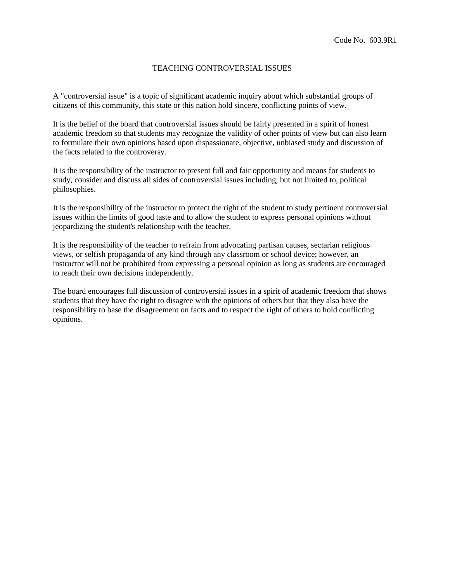## TEACHING CONTROVERSIAL ISSUES

A "controversial issue" is a topic of significant academic inquiry about which substantial groups of citizens of this community, this state or this nation hold sincere, conflicting points of view.

It is the belief of the board that controversial issues should be fairly presented in a spirit of honest academic freedom so that students may recognize the validity of other points of view but can also learn to formulate their own opinions based upon dispassionate, objective, unbiased study and discussion of the facts related to the controversy.

It is the responsibility of the instructor to present full and fair opportunity and means for students to study, consider and discuss all sides of controversial issues including, but not limited to, political philosophies.

It is the responsibility of the instructor to protect the right of the student to study pertinent controversial issues within the limits of good taste and to allow the student to express personal opinions without jeopardizing the student's relationship with the teacher.

It is the responsibility of the teacher to refrain from advocating partisan causes, sectarian religious views, or selfish propaganda of any kind through any classroom or school device; however, an instructor will not be prohibited from expressing a personal opinion as long as students are encouraged to reach their own decisions independently.

The board encourages full discussion of controversial issues in a spirit of academic freedom that shows students that they have the right to disagree with the opinions of others but that they also have the responsibility to base the disagreement on facts and to respect the right of others to hold conflicting opinions.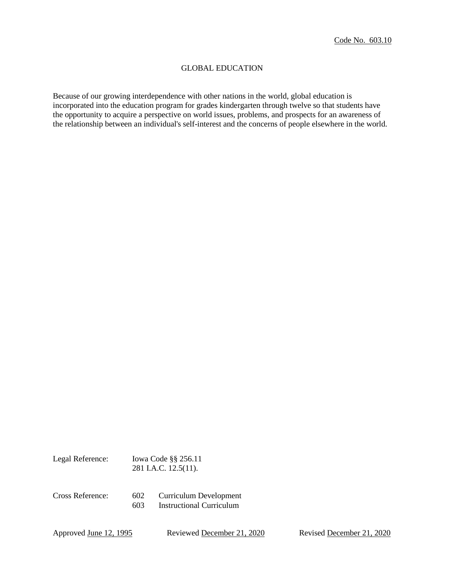## GLOBAL EDUCATION

Because of our growing interdependence with other nations in the world, global education is incorporated into the education program for grades kindergarten through twelve so that students have the opportunity to acquire a perspective on world issues, problems, and prospects for an awareness of the relationship between an individual's self-interest and the concerns of people elsewhere in the world.

| Legal Reference: |            | Iowa Code $\S$ § 256.11<br>281 I.A.C. 12.5(11).           |
|------------------|------------|-----------------------------------------------------------|
| Cross Reference: | 602<br>603 | Curriculum Development<br><b>Instructional Curriculum</b> |

Approved June 12, 1995 Reviewed December 21, 2020 Revised December 21, 2020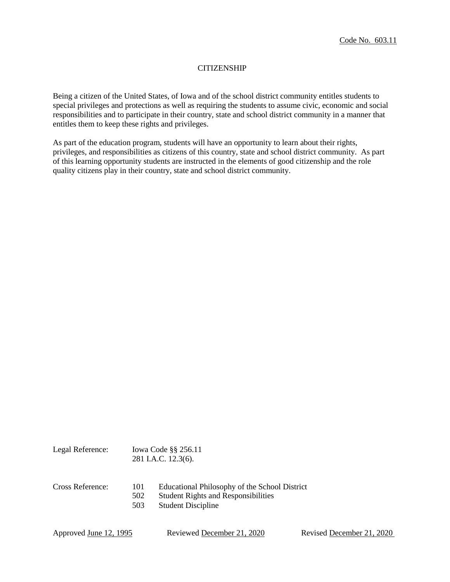## **CITIZENSHIP**

Being a citizen of the United States, of Iowa and of the school district community entitles students to special privileges and protections as well as requiring the students to assume civic, economic and social responsibilities and to participate in their country, state and school district community in a manner that entitles them to keep these rights and privileges.

As part of the education program, students will have an opportunity to learn about their rights, privileges, and responsibilities as citizens of this country, state and school district community. As part of this learning opportunity students are instructed in the elements of good citizenship and the role quality citizens play in their country, state and school district community.

| Legal Reference: |                   | Iowa Code $\S$ $\S$ 256.11<br>281 I.A.C. 12.3(6).                                                                        |
|------------------|-------------------|--------------------------------------------------------------------------------------------------------------------------|
| Cross Reference: | 101<br>502<br>503 | Educational Philosophy of the School District<br><b>Student Rights and Responsibilities</b><br><b>Student Discipline</b> |

| Approved June 12, 1995 |
|------------------------|
|------------------------|

Reviewed <u>December 21, 2020</u> Revised December 21, 2020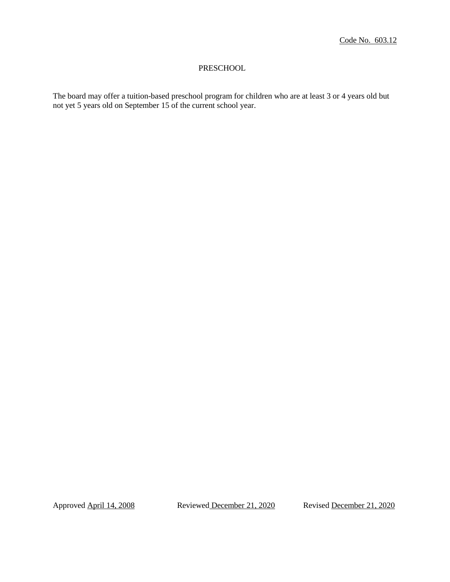### PRESCHOOL

The board may offer a tuition-based preschool program for children who are at least 3 or 4 years old but not yet 5 years old on September 15 of the current school year.

Approved April 14, 2008 Reviewed December 21, 2020 Revised December 21, 2020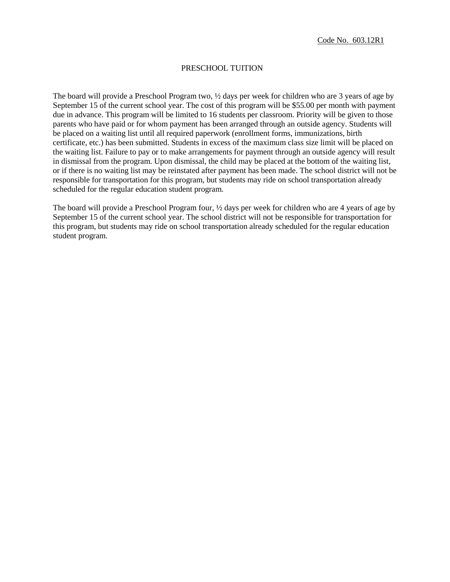### PRESCHOOL TUITION

The board will provide a Preschool Program two, ½ days per week for children who are 3 years of age by September 15 of the current school year. The cost of this program will be \$55.00 per month with payment due in advance. This program will be limited to 16 students per classroom. Priority will be given to those parents who have paid or for whom payment has been arranged through an outside agency. Students will be placed on a waiting list until all required paperwork (enrollment forms, immunizations, birth certificate, etc.) has been submitted. Students in excess of the maximum class size limit will be placed on the waiting list. Failure to pay or to make arrangements for payment through an outside agency will result in dismissal from the program. Upon dismissal, the child may be placed at the bottom of the waiting list, or if there is no waiting list may be reinstated after payment has been made. The school district will not be responsible for transportation for this program, but students may ride on school transportation already scheduled for the regular education student program.

The board will provide a Preschool Program four, ½ days per week for children who are 4 years of age by September 15 of the current school year. The school district will not be responsible for transportation for this program, but students may ride on school transportation already scheduled for the regular education student program.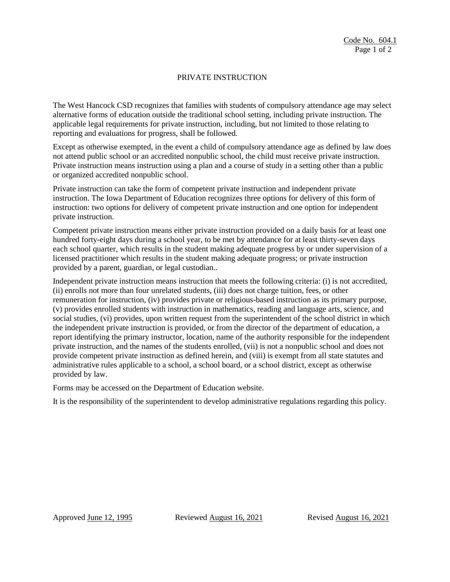## PRIVATE INSTRUCTION

The West Hancock CSD recognizes that families with students of compulsory attendance age may select alternative forms of education outside the traditional school setting, including private instruction. The applicable legal requirements for private instruction, including, but not limited to those relating to reporting and evaluations for progress, shall be followed.

Except as otherwise exempted, in the event a child of compulsory attendance age as defined by law does not attend public school or an accredited nonpublic school, the child must receive private instruction. Private instruction means instruction using a plan and a course of study in a setting other than a public or organized accredited nonpublic school.

Private instruction can take the form of competent private instruction and independent private instruction. The Iowa Department of Education recognizes three options for delivery of this form of instruction: two options for delivery of competent private instruction and one option for independent private instruction.

Competent private instruction means either private instruction provided on a daily basis for at least one hundred forty-eight days during a school year, to be met by attendance for at least thirty-seven days each school quarter, which results in the student making adequate progress by or under supervision of a licensed practitioner which results in the student making adequate progress; or private instruction provided by a parent, guardian, or legal custodian..

Independent private instruction means instruction that meets the following criteria: (i) is not accredited, (ii) enrolls not more than four unrelated students, (iii) does not charge tuition, fees, or other remuneration for instruction, (iv) provides private or religious-based instruction as its primary purpose, (v) provides enrolled students with instruction in mathematics, reading and language arts, science, and social studies, (vi) provides, upon written request from the superintendent of the school district in which the independent private instruction is provided, or from the director of the department of education, a report identifying the primary instructor, location, name of the authority responsible for the independent private instruction, and the names of the students enrolled, (vii) is not a nonpublic school and does not provide competent private instruction as defined herein, and (viii) is exempt from all state statutes and administrative rules applicable to a school, a school board, or a school district, except as otherwise provided by law.

Forms may be accessed on the Department of Education website.

It is the responsibility of the superintendent to develop administrative regulations regarding this policy.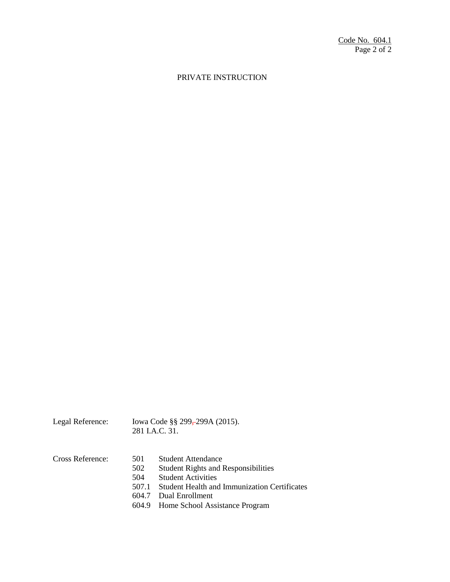# PRIVATE INSTRUCTION

| Legal Reference: | Iowa Code §§ 299, 299A (2015).<br>281 J.A.C. 31. |
|------------------|--------------------------------------------------|
|                  |                                                  |

| Cross Reference: | 501   | <b>Student Attendance</b>                    |
|------------------|-------|----------------------------------------------|
|                  | 502   | <b>Student Rights and Responsibilities</b>   |
|                  | 504   | <b>Student Activities</b>                    |
|                  | 507.1 | Student Health and Immunization Certificates |
|                  |       | 604.7 Dual Enrollment                        |
|                  |       | 604.9 Home School Assistance Program         |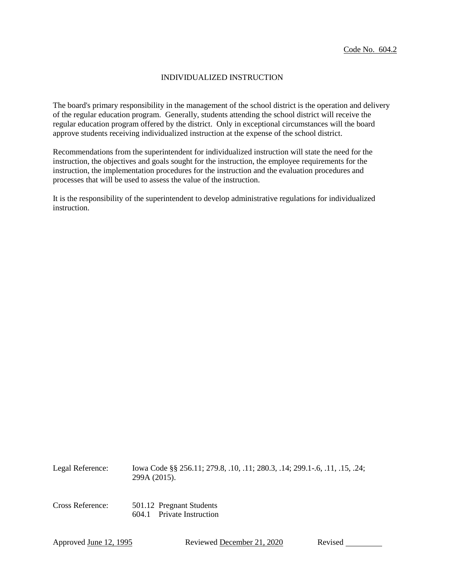### INDIVIDUALIZED INSTRUCTION

The board's primary responsibility in the management of the school district is the operation and delivery of the regular education program. Generally, students attending the school district will receive the regular education program offered by the district. Only in exceptional circumstances will the board approve students receiving individualized instruction at the expense of the school district.

Recommendations from the superintendent for individualized instruction will state the need for the instruction, the objectives and goals sought for the instruction, the employee requirements for the instruction, the implementation procedures for the instruction and the evaluation procedures and processes that will be used to assess the value of the instruction.

It is the responsibility of the superintendent to develop administrative regulations for individualized instruction.

| Legal Reference: | lowa Code §§ 256.11; 279.8, .10, .11; 280.3, .14; 299.1-.6, .11, .15, .24;<br>299A (2015). |
|------------------|--------------------------------------------------------------------------------------------|
| Cross Reference: | 501.12 Pregnant Students<br>604.1 Private Instruction                                      |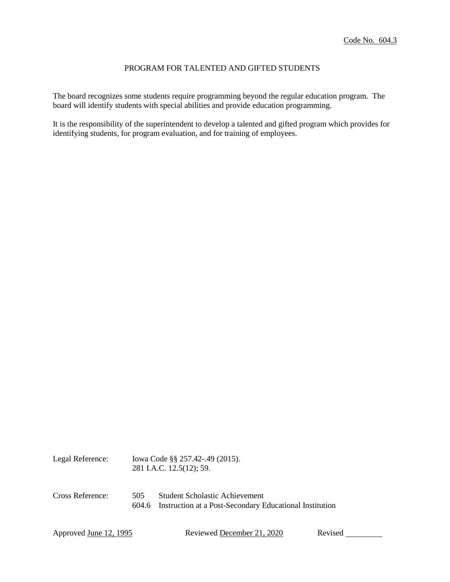## PROGRAM FOR TALENTED AND GIFTED STUDENTS

The board recognizes some students require programming beyond the regular education program. The board will identify students with special abilities and provide education programming.

It is the responsibility of the superintendent to develop a talented and gifted program which provides for identifying students, for program evaluation, and for training of employees.

| Legal Reference: |              | Iowa Code §§ 257.42-.49 (2015).<br>281 I.A.C. 12.5(12); 59.                               |  |  |
|------------------|--------------|-------------------------------------------------------------------------------------------|--|--|
| Cross Reference: | 505<br>604.6 | Student Scholastic Achievement<br>Instruction at a Post-Secondary Educational Institution |  |  |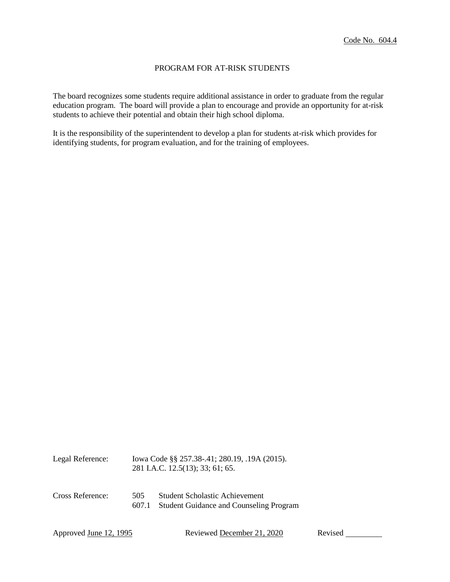### PROGRAM FOR AT-RISK STUDENTS

The board recognizes some students require additional assistance in order to graduate from the regular education program. The board will provide a plan to encourage and provide an opportunity for at-risk students to achieve their potential and obtain their high school diploma.

It is the responsibility of the superintendent to develop a plan for students at-risk which provides for identifying students, for program evaluation, and for the training of employees.

| Legal Reference: |              | Iowa Code §§ 257.38-.41; 280.19, .19A (2015).<br>281 I.A.C. 12.5(13); 33; 61; 65.       |  |
|------------------|--------------|-----------------------------------------------------------------------------------------|--|
| Cross Reference: | 505<br>607.1 | <b>Student Scholastic Achievement</b><br><b>Student Guidance and Counseling Program</b> |  |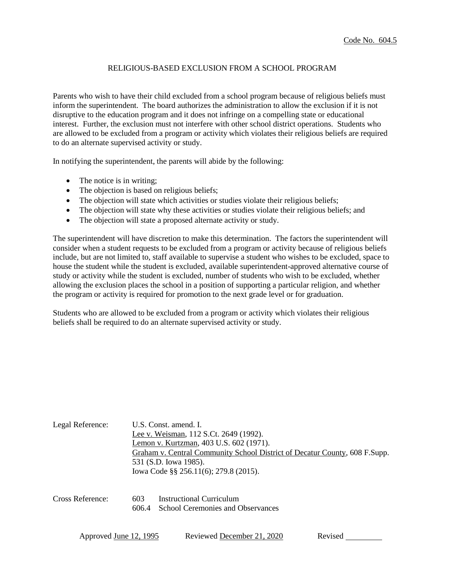## RELIGIOUS-BASED EXCLUSION FROM A SCHOOL PROGRAM

Parents who wish to have their child excluded from a school program because of religious beliefs must inform the superintendent. The board authorizes the administration to allow the exclusion if it is not disruptive to the education program and it does not infringe on a compelling state or educational interest. Further, the exclusion must not interfere with other school district operations. Students who are allowed to be excluded from a program or activity which violates their religious beliefs are required to do an alternate supervised activity or study.

In notifying the superintendent, the parents will abide by the following:

- The notice is in writing;
- The objection is based on religious beliefs;
- The objection will state which activities or studies violate their religious beliefs;
- The objection will state why these activities or studies violate their religious beliefs; and
- The objection will state a proposed alternate activity or study.

The superintendent will have discretion to make this determination. The factors the superintendent will consider when a student requests to be excluded from a program or activity because of religious beliefs include, but are not limited to, staff available to supervise a student who wishes to be excluded, space to house the student while the student is excluded, available superintendent-approved alternative course of study or activity while the student is excluded, number of students who wish to be excluded, whether allowing the exclusion places the school in a position of supporting a particular religion, and whether the program or activity is required for promotion to the next grade level or for graduation.

Students who are allowed to be excluded from a program or activity which violates their religious beliefs shall be required to do an alternate supervised activity or study.

| Legal Reference: | U.S. Const. amend. I.<br>Lee v. Weisman, 112 S.Ct. 2649 (1992).<br>Lemon v. Kurtzman, 403 U.S. 602 (1971).<br>Graham v. Central Community School District of Decatur County, 608 F.Supp.<br>531 (S.D. Iowa 1985).<br>lowa Code §§ 256.11(6); 279.8 (2015). |
|------------------|------------------------------------------------------------------------------------------------------------------------------------------------------------------------------------------------------------------------------------------------------------|
| Cross Reference: | Instructional Curriculum<br>603<br><b>School Ceremonies and Observances</b><br>606.4                                                                                                                                                                       |

| Approved <u>June 12, 1995</u> | Reviewed December 21, 2020 | Revised |  |
|-------------------------------|----------------------------|---------|--|
|                               |                            |         |  |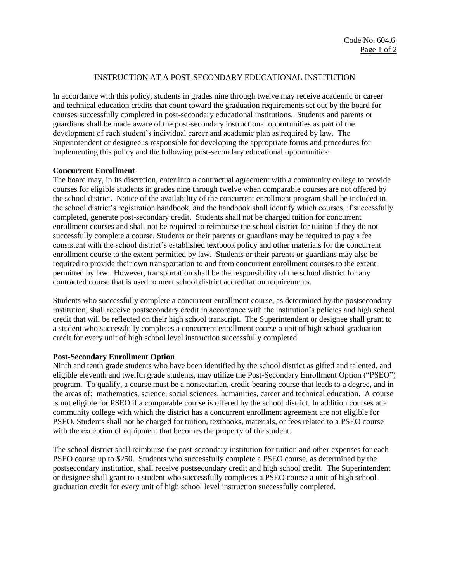### INSTRUCTION AT A POST-SECONDARY EDUCATIONAL INSTITUTION

In accordance with this policy, students in grades nine through twelve may receive academic or career and technical education credits that count toward the graduation requirements set out by the board for courses successfully completed in post-secondary educational institutions. Students and parents or guardians shall be made aware of the post-secondary instructional opportunities as part of the development of each student's individual career and academic plan as required by law. The Superintendent or designee is responsible for developing the appropriate forms and procedures for implementing this policy and the following post-secondary educational opportunities:

#### **Concurrent Enrollment**

The board may, in its discretion, enter into a contractual agreement with a community college to provide courses for eligible students in grades nine through twelve when comparable courses are not offered by the school district. Notice of the availability of the concurrent enrollment program shall be included in the school district's registration handbook, and the handbook shall identify which courses, if successfully completed, generate post-secondary credit. Students shall not be charged tuition for concurrent enrollment courses and shall not be required to reimburse the school district for tuition if they do not successfully complete a course. Students or their parents or guardians may be required to pay a fee consistent with the school district's established textbook policy and other materials for the concurrent enrollment course to the extent permitted by law. Students or their parents or guardians may also be required to provide their own transportation to and from concurrent enrollment courses to the extent permitted by law. However, transportation shall be the responsibility of the school district for any contracted course that is used to meet school district accreditation requirements.

Students who successfully complete a concurrent enrollment course, as determined by the postsecondary institution, shall receive postsecondary credit in accordance with the institution's policies and high school credit that will be reflected on their high school transcript. The Superintendent or designee shall grant to a student who successfully completes a concurrent enrollment course a unit of high school graduation credit for every unit of high school level instruction successfully completed.

#### **Post-Secondary Enrollment Option**

Ninth and tenth grade students who have been identified by the school district as gifted and talented, and eligible eleventh and twelfth grade students, may utilize the Post-Secondary Enrollment Option ("PSEO") program. To qualify, a course must be a nonsectarian, credit-bearing course that leads to a degree, and in the areas of: mathematics, science, social sciences, humanities, career and technical education. A course is not eligible for PSEO if a comparable course is offered by the school district. In addition courses at a community college with which the district has a concurrent enrollment agreement are not eligible for PSEO. Students shall not be charged for tuition, textbooks, materials, or fees related to a PSEO course with the exception of equipment that becomes the property of the student.

The school district shall reimburse the post-secondary institution for tuition and other expenses for each PSEO course up to \$250. Students who successfully complete a PSEO course, as determined by the postsecondary institution, shall receive postsecondary credit and high school credit. The Superintendent or designee shall grant to a student who successfully completes a PSEO course a unit of high school graduation credit for every unit of high school level instruction successfully completed.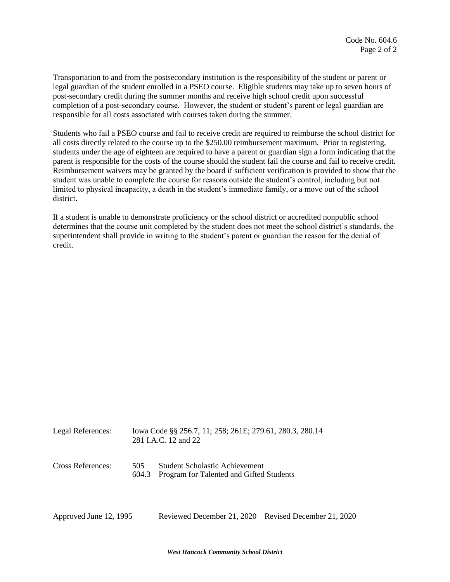Transportation to and from the postsecondary institution is the responsibility of the student or parent or legal guardian of the student enrolled in a PSEO course. Eligible students may take up to seven hours of post-secondary credit during the summer months and receive high school credit upon successful completion of a post-secondary course. However, the student or student's parent or legal guardian are responsible for all costs associated with courses taken during the summer.

Students who fail a PSEO course and fail to receive credit are required to reimburse the school district for all costs directly related to the course up to the \$250.00 reimbursement maximum. Prior to registering, students under the age of eighteen are required to have a parent or guardian sign a form indicating that the parent is responsible for the costs of the course should the student fail the course and fail to receive credit. Reimbursement waivers may be granted by the board if sufficient verification is provided to show that the student was unable to complete the course for reasons outside the student's control, including but not limited to physical incapacity, a death in the student's immediate family, or a move out of the school district.

If a student is unable to demonstrate proficiency or the school district or accredited nonpublic school determines that the course unit completed by the student does not meet the school district's standards, the superintendent shall provide in writing to the student's parent or guardian the reason for the denial of credit.

| Legal References:      |              | Iowa Code §§ 256.7, 11; 258; 261E; 279.61, 280.3, 280.14<br>281 I.A.C. 12 and 22 |                           |  |
|------------------------|--------------|----------------------------------------------------------------------------------|---------------------------|--|
| Cross References:      | 505<br>604.3 | Student Scholastic Achievement<br>Program for Talented and Gifted Students       |                           |  |
| Approved June 12, 1995 |              | Reviewed December 21, 2020                                                       | Revised December 21, 2020 |  |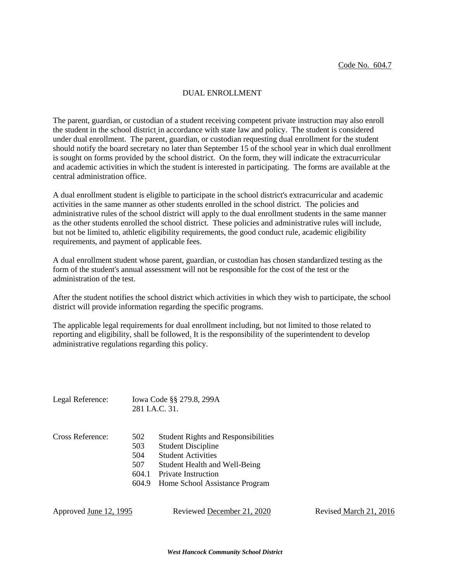#### DUAL ENROLLMENT

The parent, guardian, or custodian of a student receiving competent private instruction may also enroll the student in the school district in accordance with state law and policy. The student is considered under dual enrollment. The parent, guardian, or custodian requesting dual enrollment for the student should notify the board secretary no later than September 15 of the school year in which dual enrollment is sought on forms provided by the school district. On the form, they will indicate the extracurricular and academic activities in which the student is interested in participating. The forms are available at the central administration office.

A dual enrollment student is eligible to participate in the school district's extracurricular and academic activities in the same manner as other students enrolled in the school district. The policies and administrative rules of the school district will apply to the dual enrollment students in the same manner as the other students enrolled the school district. These policies and administrative rules will include, but not be limited to, athletic eligibility requirements, the good conduct rule, academic eligibility requirements, and payment of applicable fees.

A dual enrollment student whose parent, guardian, or custodian has chosen standardized testing as the form of the student's annual assessment will not be responsible for the cost of the test or the administration of the test.

After the student notifies the school district which activities in which they wish to participate, the school district will provide information regarding the specific programs.

The applicable legal requirements for dual enrollment including, but not limited to those related to reporting and eligibility, shall be followed. It is the responsibility of the superintendent to develop administrative regulations regarding this policy.

|                  |                                            | 281 I.A.C. 31.                                                                                                                                                                                        |
|------------------|--------------------------------------------|-------------------------------------------------------------------------------------------------------------------------------------------------------------------------------------------------------|
| Cross Reference: | 502<br>503<br>504<br>507<br>604.1<br>604.9 | <b>Student Rights and Responsibilities</b><br><b>Student Discipline</b><br><b>Student Activities</b><br>Student Health and Well-Being<br><b>Private Instruction</b><br>Home School Assistance Program |

Legal Reference: Iowa Code §§ 279.8, 299A

| Approved <u>June 12, 1995</u> | Reviewed December 21, 2020 | Revised March 21, 2016 |
|-------------------------------|----------------------------|------------------------|
|-------------------------------|----------------------------|------------------------|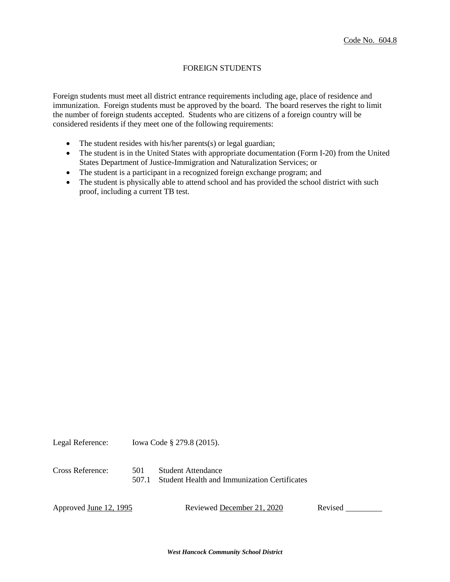# FOREIGN STUDENTS

Foreign students must meet all district entrance requirements including age, place of residence and immunization. Foreign students must be approved by the board. The board reserves the right to limit the number of foreign students accepted. Students who are citizens of a foreign country will be considered residents if they meet one of the following requirements:

- The student resides with his/her parents(s) or legal guardian;
- The student is in the United States with appropriate documentation (Form I-20) from the United States Department of Justice-Immigration and Naturalization Services; or
- The student is a participant in a recognized foreign exchange program; and
- The student is physically able to attend school and has provided the school district with such proof, including a current TB test.

Legal Reference: Iowa Code § 279.8 (2015). Cross Reference: 501 Student Attendance 507.1 Student Health and Immunization Certificates

Approved June 12, 1995 Reviewed December 21, 2020 Revised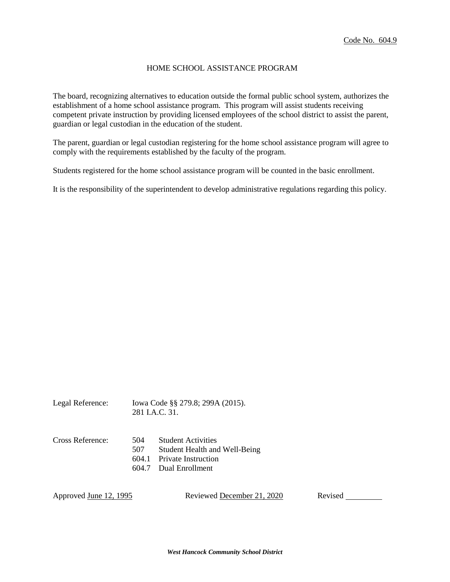### HOME SCHOOL ASSISTANCE PROGRAM

The board, recognizing alternatives to education outside the formal public school system, authorizes the establishment of a home school assistance program. This program will assist students receiving competent private instruction by providing licensed employees of the school district to assist the parent, guardian or legal custodian in the education of the student.

The parent, guardian or legal custodian registering for the home school assistance program will agree to comply with the requirements established by the faculty of the program.

Students registered for the home school assistance program will be counted in the basic enrollment.

It is the responsibility of the superintendent to develop administrative regulations regarding this policy.

| Legal Reference: | Iowa Code §§ 279.8; 299A (2015).<br>281 J.A.C. 31. |                                                                                                             |
|------------------|----------------------------------------------------|-------------------------------------------------------------------------------------------------------------|
| Cross Reference: | 504<br>507<br>604.1<br>604.7                       | <b>Student Activities</b><br>Student Health and Well-Being<br><b>Private Instruction</b><br>Dual Enrollment |

Approved June 12, 1995 Reviewed December 21, 2020 Revised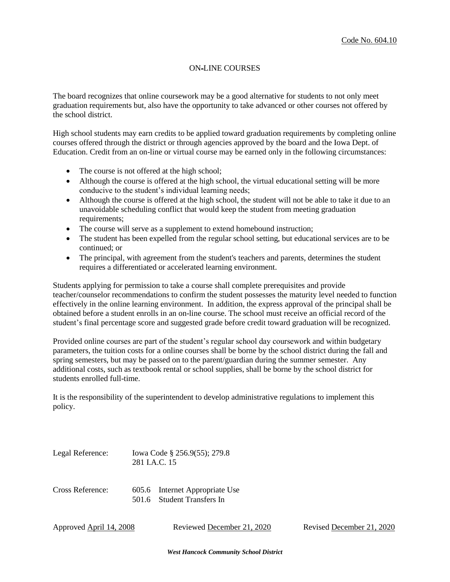### ON-LINE COURSES

The board recognizes that online coursework may be a good alternative for students to not only meet graduation requirements but, also have the opportunity to take advanced or other courses not offered by the school district.

High school students may earn credits to be applied toward graduation requirements by completing online courses offered through the district or through agencies approved by the board and the Iowa Dept. of Education. Credit from an on-line or virtual course may be earned only in the following circumstances:

- The course is not offered at the high school;
- Although the course is offered at the high school, the virtual educational setting will be more conducive to the student's individual learning needs;
- Although the course is offered at the high school, the student will not be able to take it due to an unavoidable scheduling conflict that would keep the student from meeting graduation requirements;
- The course will serve as a supplement to extend homebound instruction;
- The student has been expelled from the regular school setting, but educational services are to be continued; or
- The principal, with agreement from the student's teachers and parents, determines the student requires a differentiated or accelerated learning environment.

Students applying for permission to take a course shall complete prerequisites and provide teacher/counselor recommendations to confirm the student possesses the maturity level needed to function effectively in the online learning environment. In addition, the express approval of the principal shall be obtained before a student enrolls in an on-line course. The school must receive an official record of the student's final percentage score and suggested grade before credit toward graduation will be recognized.

Provided online courses are part of the student's regular school day coursework and within budgetary parameters, the tuition costs for a online courses shall be borne by the school district during the fall and spring semesters, but may be passed on to the parent/guardian during the summer semester. Any additional costs, such as textbook rental or school supplies, shall be borne by the school district for students enrolled full-time.

It is the responsibility of the superintendent to develop administrative regulations to implement this policy.

| Legal Reference: | 281 J.A.C. 15 | Iowa Code § 256.9(55); 279.8                                 |
|------------------|---------------|--------------------------------------------------------------|
| Cross Reference: |               | 605.6 Internet Appropriate Use<br>501.6 Student Transfers In |

Approved April 14, 2008 Reviewed December 21, 2020 Revised December 21, 2020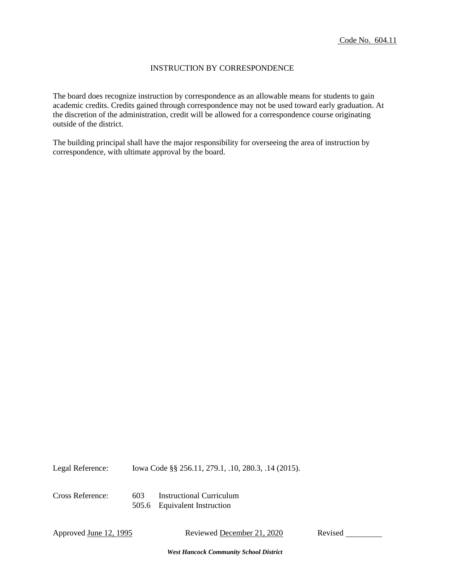#### INSTRUCTION BY CORRESPONDENCE

The board does recognize instruction by correspondence as an allowable means for students to gain academic credits. Credits gained through correspondence may not be used toward early graduation. At the discretion of the administration, credit will be allowed for a correspondence course originating outside of the district.

The building principal shall have the major responsibility for overseeing the area of instruction by correspondence, with ultimate approval by the board.

Legal Reference: Iowa Code §§ 256.11, 279.1, .10, 280.3, .14 (2015).

Cross Reference: 603 Instructional Curriculum

505.6 Equivalent Instruction

Approved June 12, 1995 Reviewed December 21, 2020 Revised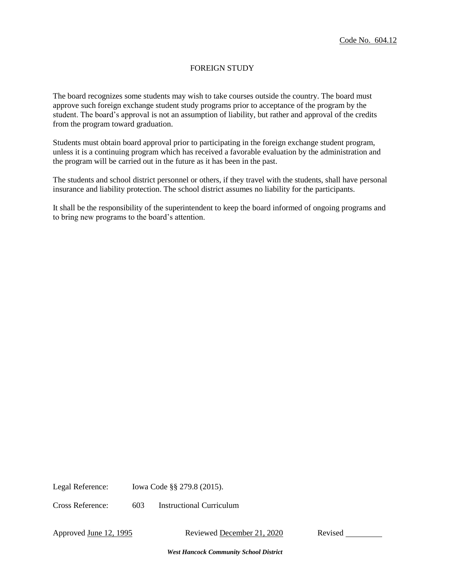# FOREIGN STUDY

The board recognizes some students may wish to take courses outside the country. The board must approve such foreign exchange student study programs prior to acceptance of the program by the student. The board's approval is not an assumption of liability, but rather and approval of the credits from the program toward graduation.

Students must obtain board approval prior to participating in the foreign exchange student program, unless it is a continuing program which has received a favorable evaluation by the administration and the program will be carried out in the future as it has been in the past.

The students and school district personnel or others, if they travel with the students, shall have personal insurance and liability protection. The school district assumes no liability for the participants.

It shall be the responsibility of the superintendent to keep the board informed of ongoing programs and to bring new programs to the board's attention.

Legal Reference: Iowa Code §§ 279.8 (2015).

Cross Reference: 603 Instructional Curriculum

Approved June 12, 1995 Reviewed December 21, 2020 Revised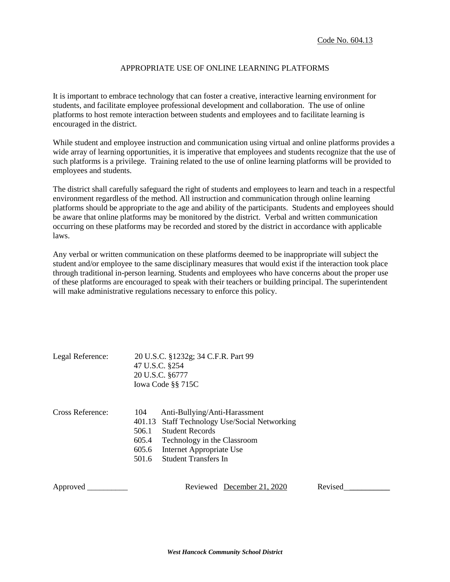## APPROPRIATE USE OF ONLINE LEARNING PLATFORMS

It is important to embrace technology that can foster a creative, interactive learning environment for students, and facilitate employee professional development and collaboration. The use of online platforms to host remote interaction between students and employees and to facilitate learning is encouraged in the district.

While student and employee instruction and communication using virtual and online platforms provides a wide array of learning opportunities, it is imperative that employees and students recognize that the use of such platforms is a privilege. Training related to the use of online learning platforms will be provided to employees and students.

The district shall carefully safeguard the right of students and employees to learn and teach in a respectful environment regardless of the method. All instruction and communication through online learning platforms should be appropriate to the age and ability of the participants. Students and employees should be aware that online platforms may be monitored by the district. Verbal and written communication occurring on these platforms may be recorded and stored by the district in accordance with applicable laws.

Any verbal or written communication on these platforms deemed to be inappropriate will subject the student and/or employee to the same disciplinary measures that would exist if the interaction took place through traditional in-person learning. Students and employees who have concerns about the proper use of these platforms are encouraged to speak with their teachers or building principal. The superintendent will make administrative regulations necessary to enforce this policy.

| Legal Reference: | 20 U.S.C. §1232g; 34 C.F.R. Part 99<br>47 U.S.C. §254<br>20 U.S.C. §6777<br>Iowa Code §§ 715C                                                                                                                                                 |
|------------------|-----------------------------------------------------------------------------------------------------------------------------------------------------------------------------------------------------------------------------------------------|
| Cross Reference: | Anti-Bullying/Anti-Harassment<br>104<br>401.13 Staff Technology Use/Social Networking<br><b>Student Records</b><br>506.1<br>605.4<br>Technology in the Classroom<br>Internet Appropriate Use<br>605.6<br><b>Student Transfers In</b><br>501.6 |
| Approved         | Revised<br>Reviewed December 21, 2020                                                                                                                                                                                                         |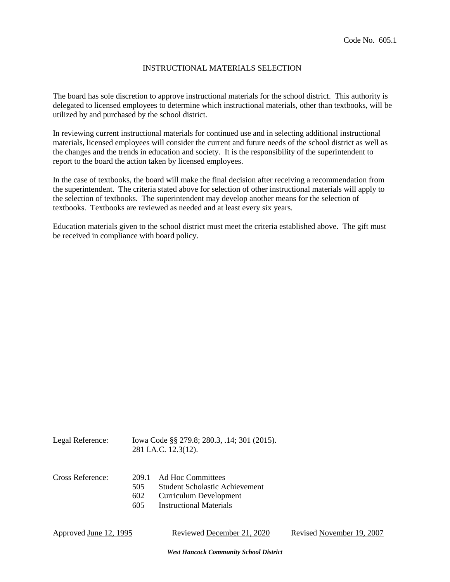### INSTRUCTIONAL MATERIALS SELECTION

The board has sole discretion to approve instructional materials for the school district. This authority is delegated to licensed employees to determine which instructional materials, other than textbooks, will be utilized by and purchased by the school district.

In reviewing current instructional materials for continued use and in selecting additional instructional materials, licensed employees will consider the current and future needs of the school district as well as the changes and the trends in education and society. It is the responsibility of the superintendent to report to the board the action taken by licensed employees.

In the case of textbooks, the board will make the final decision after receiving a recommendation from the superintendent. The criteria stated above for selection of other instructional materials will apply to the selection of textbooks. The superintendent may develop another means for the selection of textbooks. Textbooks are reviewed as needed and at least every six years.

Education materials given to the school district must meet the criteria established above. The gift must be received in compliance with board policy.

|                            | Iowa Code §§ 279.8; 280.3, .14; 301 (2015).<br>281 I.A.C. 12.3(12).                                                    |
|----------------------------|------------------------------------------------------------------------------------------------------------------------|
| 209.1<br>505<br>602<br>605 | Ad Hoc Committees<br><b>Student Scholastic Achievement</b><br>Curriculum Development<br><b>Instructional Materials</b> |
|                            |                                                                                                                        |

*West Hancock Community School District*

Approved June 12, 1995 Reviewed December 21, 2020 Revised November 19, 2007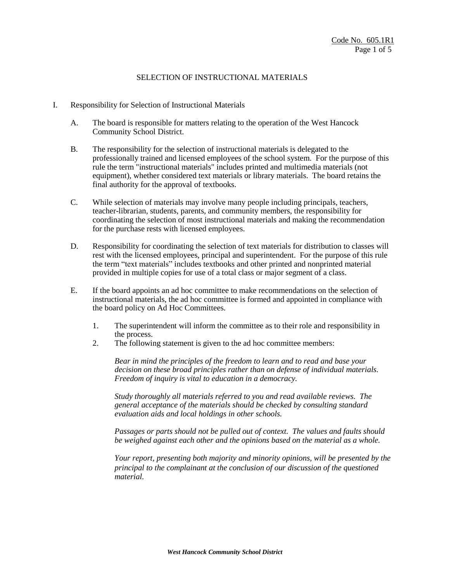- I. Responsibility for Selection of Instructional Materials
	- A. The board is responsible for matters relating to the operation of the West Hancock Community School District.
	- B. The responsibility for the selection of instructional materials is delegated to the professionally trained and licensed employees of the school system. For the purpose of this rule the term "instructional materials" includes printed and multimedia materials (not equipment), whether considered text materials or library materials. The board retains the final authority for the approval of textbooks.
	- C. While selection of materials may involve many people including principals, teachers, teacher-librarian, students, parents, and community members, the responsibility for coordinating the selection of most instructional materials and making the recommendation for the purchase rests with licensed employees.
	- D. Responsibility for coordinating the selection of text materials for distribution to classes will rest with the licensed employees, principal and superintendent. For the purpose of this rule the term "text materials" includes textbooks and other printed and nonprinted material provided in multiple copies for use of a total class or major segment of a class.
	- E. If the board appoints an ad hoc committee to make recommendations on the selection of instructional materials, the ad hoc committee is formed and appointed in compliance with the board policy on Ad Hoc Committees.
		- 1. The superintendent will inform the committee as to their role and responsibility in the process.
		- 2. The following statement is given to the ad hoc committee members:

*Bear in mind the principles of the freedom to learn and to read and base your decision on these broad principles rather than on defense of individual materials. Freedom of inquiry is vital to education in a democracy.*

*Study thoroughly all materials referred to you and read available reviews. The general acceptance of the materials should be checked by consulting standard evaluation aids and local holdings in other schools.*

*Passages or parts should not be pulled out of context. The values and faults should be weighed against each other and the opinions based on the material as a whole.*

*Your report, presenting both majority and minority opinions, will be presented by the principal to the complainant at the conclusion of our discussion of the questioned material.*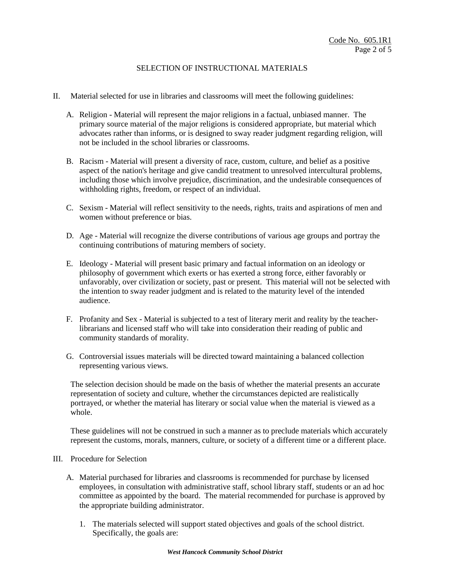- II. Material selected for use in libraries and classrooms will meet the following guidelines:
	- A. Religion Material will represent the major religions in a factual, unbiased manner. The primary source material of the major religions is considered appropriate, but material which advocates rather than informs, or is designed to sway reader judgment regarding religion, will not be included in the school libraries or classrooms.
	- B. Racism Material will present a diversity of race, custom, culture, and belief as a positive aspect of the nation's heritage and give candid treatment to unresolved intercultural problems, including those which involve prejudice, discrimination, and the undesirable consequences of withholding rights, freedom, or respect of an individual.
	- C. Sexism Material will reflect sensitivity to the needs, rights, traits and aspirations of men and women without preference or bias.
	- D. Age Material will recognize the diverse contributions of various age groups and portray the continuing contributions of maturing members of society.
	- E. Ideology Material will present basic primary and factual information on an ideology or philosophy of government which exerts or has exerted a strong force, either favorably or unfavorably, over civilization or society, past or present. This material will not be selected with the intention to sway reader judgment and is related to the maturity level of the intended audience.
	- F. Profanity and Sex Material is subjected to a test of literary merit and reality by the teacherlibrarians and licensed staff who will take into consideration their reading of public and community standards of morality.
	- G. Controversial issues materials will be directed toward maintaining a balanced collection representing various views.

The selection decision should be made on the basis of whether the material presents an accurate representation of society and culture, whether the circumstances depicted are realistically portrayed, or whether the material has literary or social value when the material is viewed as a whole.

These guidelines will not be construed in such a manner as to preclude materials which accurately represent the customs, morals, manners, culture, or society of a different time or a different place.

#### III. Procedure for Selection

- A. Material purchased for libraries and classrooms is recommended for purchase by licensed employees, in consultation with administrative staff, school library staff, students or an ad hoc committee as appointed by the board. The material recommended for purchase is approved by the appropriate building administrator.
	- 1. The materials selected will support stated objectives and goals of the school district. Specifically, the goals are: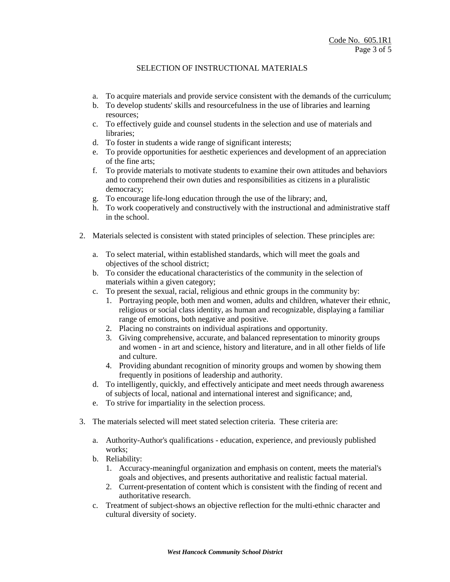- a. To acquire materials and provide service consistent with the demands of the curriculum;
- b. To develop students' skills and resourcefulness in the use of libraries and learning resources;
- c. To effectively guide and counsel students in the selection and use of materials and libraries;
- d. To foster in students a wide range of significant interests;
- e. To provide opportunities for aesthetic experiences and development of an appreciation of the fine arts;
- f. To provide materials to motivate students to examine their own attitudes and behaviors and to comprehend their own duties and responsibilities as citizens in a pluralistic democracy;
- g. To encourage life-long education through the use of the library; and,
- h. To work cooperatively and constructively with the instructional and administrative staff in the school.
- 2. Materials selected is consistent with stated principles of selection. These principles are:
	- a. To select material, within established standards, which will meet the goals and objectives of the school district;
	- b. To consider the educational characteristics of the community in the selection of materials within a given category;
	- c. To present the sexual, racial, religious and ethnic groups in the community by:
		- 1. Portraying people, both men and women, adults and children, whatever their ethnic, religious or social class identity, as human and recognizable, displaying a familiar range of emotions, both negative and positive.
		- 2. Placing no constraints on individual aspirations and opportunity.
		- 3. Giving comprehensive, accurate, and balanced representation to minority groups and women - in art and science, history and literature, and in all other fields of life and culture.
		- 4. Providing abundant recognition of minority groups and women by showing them frequently in positions of leadership and authority.
	- d. To intelligently, quickly, and effectively anticipate and meet needs through awareness of subjects of local, national and international interest and significance; and,
	- e. To strive for impartiality in the selection process.
- 3. The materials selected will meet stated selection criteria. These criteria are:
	- a. Authority-Author's qualifications education, experience, and previously published works;
	- b. Reliability:
		- 1. Accuracy-meaningful organization and emphasis on content, meets the material's goals and objectives, and presents authoritative and realistic factual material.
		- 2. Current-presentation of content which is consistent with the finding of recent and authoritative research.
	- c. Treatment of subject-shows an objective reflection for the multi-ethnic character and cultural diversity of society.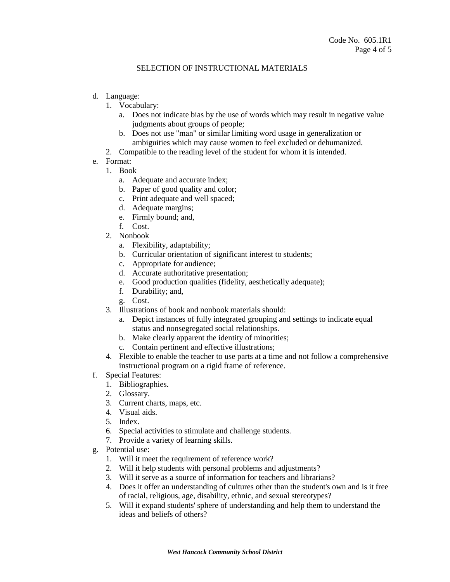- d. Language:
	- 1. Vocabulary:
		- a. Does not indicate bias by the use of words which may result in negative value judgments about groups of people;
		- b. Does not use "man" or similar limiting word usage in generalization or ambiguities which may cause women to feel excluded or dehumanized.
	- 2. Compatible to the reading level of the student for whom it is intended.
- e. Format:
	- 1. Book
		- a. Adequate and accurate index;
		- b. Paper of good quality and color;
		- c. Print adequate and well spaced;
		- d. Adequate margins;
		- e. Firmly bound; and,
		- f. Cost.
	- 2. Nonbook
		- a. Flexibility, adaptability;
		- b. Curricular orientation of significant interest to students;
		- c. Appropriate for audience;
		- d. Accurate authoritative presentation;
		- e. Good production qualities (fidelity, aesthetically adequate);
		- f. Durability; and,
		- g. Cost.
	- 3. Illustrations of book and nonbook materials should:
		- a. Depict instances of fully integrated grouping and settings to indicate equal status and nonsegregated social relationships.
		- b. Make clearly apparent the identity of minorities;
		- c. Contain pertinent and effective illustrations;
	- 4. Flexible to enable the teacher to use parts at a time and not follow a comprehensive instructional program on a rigid frame of reference.
- f. Special Features:
	- 1. Bibliographies.
	- 2. Glossary.
	- 3. Current charts, maps, etc.
	- 4. Visual aids.
	- 5. Index.
	- 6. Special activities to stimulate and challenge students.
	- 7. Provide a variety of learning skills.
- g. Potential use:
	- 1. Will it meet the requirement of reference work?
	- 2. Will it help students with personal problems and adjustments?
	- 3. Will it serve as a source of information for teachers and librarians?
	- 4. Does it offer an understanding of cultures other than the student's own and is it free of racial, religious, age, disability, ethnic, and sexual stereotypes?
	- 5. Will it expand students' sphere of understanding and help them to understand the ideas and beliefs of others?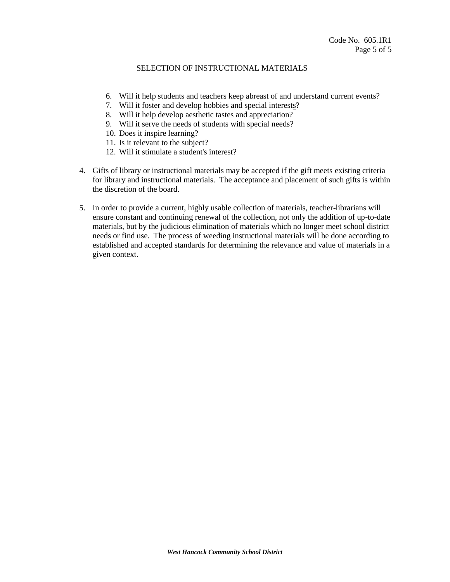- 6. Will it help students and teachers keep abreast of and understand current events?
- 7. Will it foster and develop hobbies and special interests?
- 8. Will it help develop aesthetic tastes and appreciation?
- 9. Will it serve the needs of students with special needs?
- 10. Does it inspire learning?
- 11. Is it relevant to the subject?
- 12. Will it stimulate a student's interest?
- 4. Gifts of library or instructional materials may be accepted if the gift meets existing criteria for library and instructional materials. The acceptance and placement of such gifts is within the discretion of the board.
- 5. In order to provide a current, highly usable collection of materials, teacher-librarians will ensure constant and continuing renewal of the collection, not only the addition of up-to-date materials, but by the judicious elimination of materials which no longer meet school district needs or find use. The process of weeding instructional materials will be done according to established and accepted standards for determining the relevance and value of materials in a given context.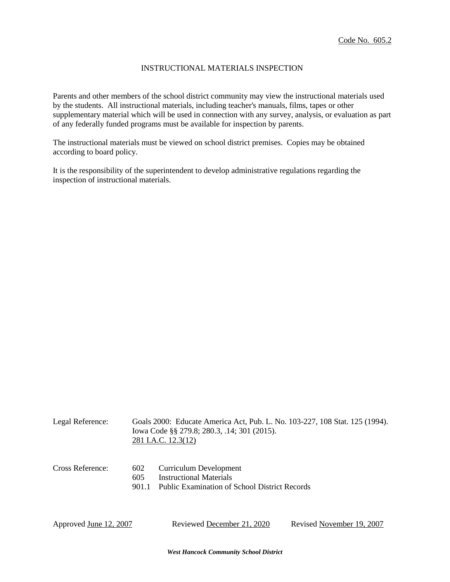### INSTRUCTIONAL MATERIALS INSPECTION

Parents and other members of the school district community may view the instructional materials used by the students. All instructional materials, including teacher's manuals, films, tapes or other supplementary material which will be used in connection with any survey, analysis, or evaluation as part of any federally funded programs must be available for inspection by parents.

The instructional materials must be viewed on school district premises. Copies may be obtained according to board policy.

It is the responsibility of the superintendent to develop administrative regulations regarding the inspection of instructional materials.

| Legal Reference:       |                     | Goals 2000: Educate America Act, Pub. L. No. 103-227, 108 Stat. 125 (1994).<br>Iowa Code §§ 279.8; 280.3, .14; 301 (2015).<br>281 I.A.C. 12.3(12) |                           |  |
|------------------------|---------------------|---------------------------------------------------------------------------------------------------------------------------------------------------|---------------------------|--|
| Cross Reference:       | 602<br>605<br>901.1 | Curriculum Development<br>Instructional Materials<br>Public Examination of School District Records                                                |                           |  |
| Approved June 12, 2007 |                     | Reviewed December 21, 2020                                                                                                                        | Revised November 19, 2007 |  |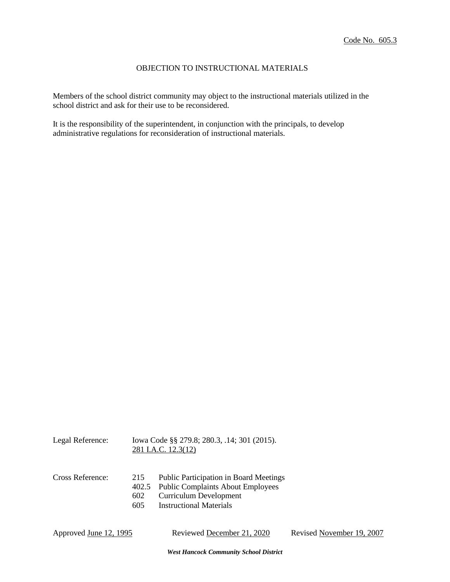## OBJECTION TO INSTRUCTIONAL MATERIALS

Members of the school district community may object to the instructional materials utilized in the school district and ask for their use to be reconsidered.

It is the responsibility of the superintendent, in conjunction with the principals, to develop administrative regulations for reconsideration of instructional materials.

| Legal Reference: |                   | Iowa Code §§ 279.8; 280.3, .14; 301 (2015).<br>281 I.A.C. 12.3(12)                                                                                   |
|------------------|-------------------|------------------------------------------------------------------------------------------------------------------------------------------------------|
| Cross Reference: | 215<br>602<br>605 | <b>Public Participation in Board Meetings</b><br>402.5 Public Complaints About Employees<br>Curriculum Development<br><b>Instructional Materials</b> |

Approved June 12, 1995 Reviewed December 21, 2020 Revised November 19, 2007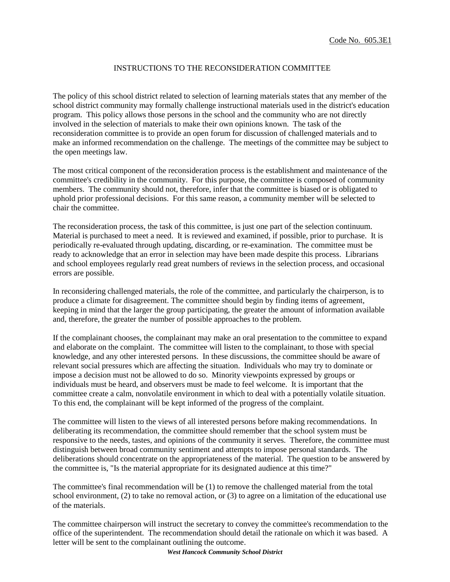# INSTRUCTIONS TO THE RECONSIDERATION COMMITTEE

The policy of this school district related to selection of learning materials states that any member of the school district community may formally challenge instructional materials used in the district's education program. This policy allows those persons in the school and the community who are not directly involved in the selection of materials to make their own opinions known. The task of the reconsideration committee is to provide an open forum for discussion of challenged materials and to make an informed recommendation on the challenge. The meetings of the committee may be subject to the open meetings law.

The most critical component of the reconsideration process is the establishment and maintenance of the committee's credibility in the community. For this purpose, the committee is composed of community members. The community should not, therefore, infer that the committee is biased or is obligated to uphold prior professional decisions. For this same reason, a community member will be selected to chair the committee.

The reconsideration process, the task of this committee, is just one part of the selection continuum. Material is purchased to meet a need. It is reviewed and examined, if possible, prior to purchase. It is periodically re-evaluated through updating, discarding, or re-examination. The committee must be ready to acknowledge that an error in selection may have been made despite this process. Librarians and school employees regularly read great numbers of reviews in the selection process, and occasional errors are possible.

In reconsidering challenged materials, the role of the committee, and particularly the chairperson, is to produce a climate for disagreement. The committee should begin by finding items of agreement, keeping in mind that the larger the group participating, the greater the amount of information available and, therefore, the greater the number of possible approaches to the problem.

If the complainant chooses, the complainant may make an oral presentation to the committee to expand and elaborate on the complaint. The committee will listen to the complainant, to those with special knowledge, and any other interested persons. In these discussions, the committee should be aware of relevant social pressures which are affecting the situation. Individuals who may try to dominate or impose a decision must not be allowed to do so. Minority viewpoints expressed by groups or individuals must be heard, and observers must be made to feel welcome. It is important that the committee create a calm, nonvolatile environment in which to deal with a potentially volatile situation. To this end, the complainant will be kept informed of the progress of the complaint.

The committee will listen to the views of all interested persons before making recommendations. In deliberating its recommendation, the committee should remember that the school system must be responsive to the needs, tastes, and opinions of the community it serves. Therefore, the committee must distinguish between broad community sentiment and attempts to impose personal standards. The deliberations should concentrate on the appropriateness of the material. The question to be answered by the committee is, "Is the material appropriate for its designated audience at this time?"

The committee's final recommendation will be (1) to remove the challenged material from the total school environment, (2) to take no removal action, or (3) to agree on a limitation of the educational use of the materials.

The committee chairperson will instruct the secretary to convey the committee's recommendation to the office of the superintendent. The recommendation should detail the rationale on which it was based. A letter will be sent to the complainant outlining the outcome.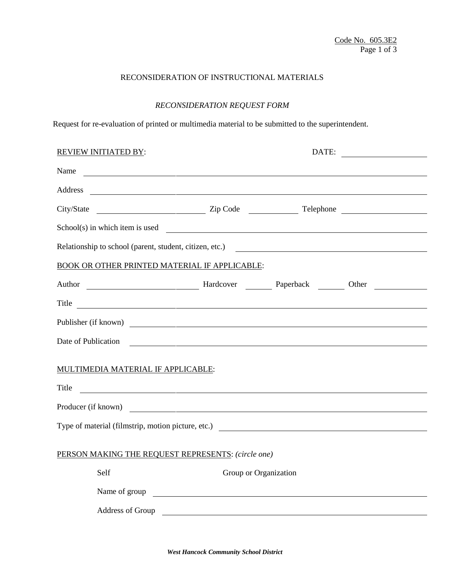# RECONSIDERATION OF INSTRUCTIONAL MATERIALS

# *RECONSIDERATION REQUEST FORM*

Request for re-evaluation of printed or multimedia material to be submitted to the superintendent.

| <b>REVIEW INITIATED BY:</b>                                                                                                                                                                                                                                                                                     |                       | DATE:                                                                                                                                                                                                                          |  |
|-----------------------------------------------------------------------------------------------------------------------------------------------------------------------------------------------------------------------------------------------------------------------------------------------------------------|-----------------------|--------------------------------------------------------------------------------------------------------------------------------------------------------------------------------------------------------------------------------|--|
| Name<br><u> 1980 - Johann Barn, fransk politik fotograf (d. 1980)</u>                                                                                                                                                                                                                                           |                       |                                                                                                                                                                                                                                |  |
|                                                                                                                                                                                                                                                                                                                 |                       |                                                                                                                                                                                                                                |  |
|                                                                                                                                                                                                                                                                                                                 |                       |                                                                                                                                                                                                                                |  |
| $School(s)$ in which item is used $\frac{1}{s}$ $\frac{1}{s}$ $\frac{1}{s}$ $\frac{1}{s}$ $\frac{1}{s}$ $\frac{1}{s}$ $\frac{1}{s}$ $\frac{1}{s}$ $\frac{1}{s}$ $\frac{1}{s}$ $\frac{1}{s}$ $\frac{1}{s}$ $\frac{1}{s}$ $\frac{1}{s}$ $\frac{1}{s}$ $\frac{1}{s}$ $\frac{1}{s}$ $\frac{1}{s}$ $\frac{1}{s}$ $\$ |                       |                                                                                                                                                                                                                                |  |
|                                                                                                                                                                                                                                                                                                                 |                       | Relationship to school (parent, student, citizen, etc.)                                                                                                                                                                        |  |
| BOOK OR OTHER PRINTED MATERIAL IF APPLICABLE:                                                                                                                                                                                                                                                                   |                       |                                                                                                                                                                                                                                |  |
|                                                                                                                                                                                                                                                                                                                 |                       | Author Manuel Manuel Manuel Manuel Paperback Manuel Other Manuel Manuel Manuel Manuel Manuel Manuel Manuel Manuel Manuel Manuel Manuel Manuel Manuel Manuel Manuel Manuel Manuel Manuel Manuel Manuel Manuel Manuel Manuel Man |  |
| Title                                                                                                                                                                                                                                                                                                           |                       | <u> 1989 - Andrea Stadt Britain, amerikansk politik (* 1989)</u>                                                                                                                                                               |  |
|                                                                                                                                                                                                                                                                                                                 |                       | Publisher (if known)                                                                                                                                                                                                           |  |
| Date of Publication                                                                                                                                                                                                                                                                                             |                       | <u> 1989 - Jan Barbara de Santo Antonio de Antonio de Antonio de Antonio de Antonio de Antonio de Antonio de An</u>                                                                                                            |  |
| MULTIMEDIA MATERIAL IF APPLICABLE:<br>Title<br><u> 1980 - Johann Barnett, fransk politik (d. 1980)</u>                                                                                                                                                                                                          |                       |                                                                                                                                                                                                                                |  |
| Producer (if known)                                                                                                                                                                                                                                                                                             |                       |                                                                                                                                                                                                                                |  |
|                                                                                                                                                                                                                                                                                                                 |                       |                                                                                                                                                                                                                                |  |
| PERSON MAKING THE REQUEST REPRESENTS: (circle one)                                                                                                                                                                                                                                                              |                       |                                                                                                                                                                                                                                |  |
| Self                                                                                                                                                                                                                                                                                                            | Group or Organization |                                                                                                                                                                                                                                |  |
|                                                                                                                                                                                                                                                                                                                 | Name of group         |                                                                                                                                                                                                                                |  |
| Address of Group                                                                                                                                                                                                                                                                                                |                       |                                                                                                                                                                                                                                |  |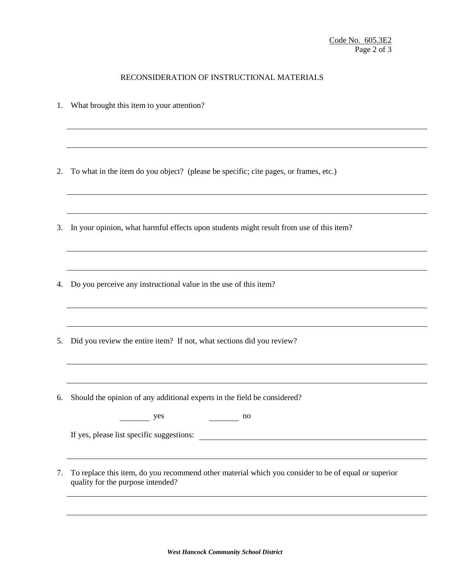#### RECONSIDERATION OF INSTRUCTIONAL MATERIALS

- 1. What brought this item to your attention?
- 2. To what in the item do you object? (please be specific; cite pages, or frames, etc.)
- 3. In your opinion, what harmful effects upon students might result from use of this item?
- 4. Do you perceive any instructional value in the use of this item?
- 5. Did you review the entire item? If not, what sections did you review?
- 6. Should the opinion of any additional experts in the field be considered?

| yes | no<br>. . |
|-----|-----------|
|-----|-----------|

If yes, please list specific suggestions:

7. To replace this item, do you recommend other material which you consider to be of equal or superior quality for the purpose intended?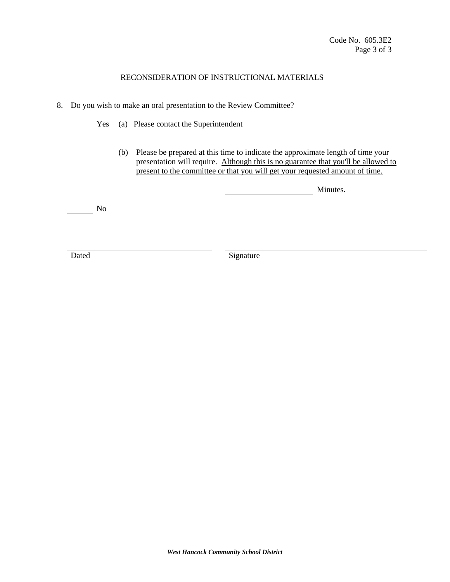### RECONSIDERATION OF INSTRUCTIONAL MATERIALS

- 8. Do you wish to make an oral presentation to the Review Committee?
	- Yes (a) Please contact the Superintendent
		- (b) Please be prepared at this time to indicate the approximate length of time your presentation will require. Although this is no guarantee that you'll be allowed to present to the committee or that you will get your requested amount of time.

Minutes.

No

Dated Signature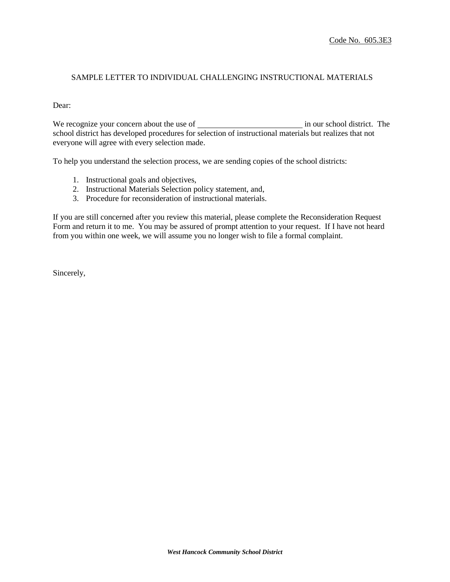### SAMPLE LETTER TO INDIVIDUAL CHALLENGING INSTRUCTIONAL MATERIALS

#### Dear:

We recognize your concern about the use of in our school district. The school district has developed procedures for selection of instructional materials but realizes that not everyone will agree with every selection made.

To help you understand the selection process, we are sending copies of the school districts:

- 1. Instructional goals and objectives,
- 2. Instructional Materials Selection policy statement, and,
- 3. Procedure for reconsideration of instructional materials.

If you are still concerned after you review this material, please complete the Reconsideration Request Form and return it to me. You may be assured of prompt attention to your request. If I have not heard from you within one week, we will assume you no longer wish to file a formal complaint.

Sincerely,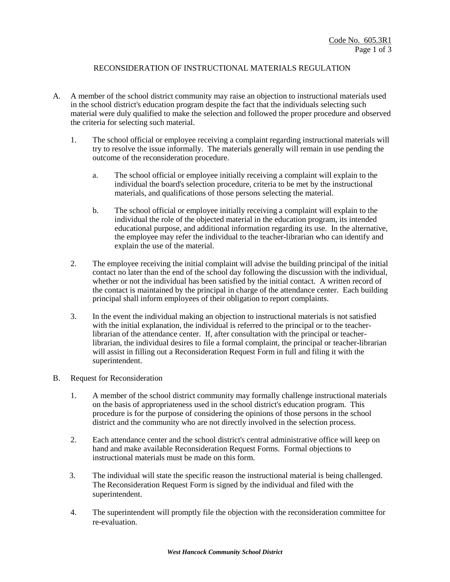# RECONSIDERATION OF INSTRUCTIONAL MATERIALS REGULATION

- A. A member of the school district community may raise an objection to instructional materials used in the school district's education program despite the fact that the individuals selecting such material were duly qualified to make the selection and followed the proper procedure and observed the criteria for selecting such material.
	- 1. The school official or employee receiving a complaint regarding instructional materials will try to resolve the issue informally. The materials generally will remain in use pending the outcome of the reconsideration procedure.
		- a. The school official or employee initially receiving a complaint will explain to the individual the board's selection procedure, criteria to be met by the instructional materials, and qualifications of those persons selecting the material.
		- b. The school official or employee initially receiving a complaint will explain to the individual the role of the objected material in the education program, its intended educational purpose, and additional information regarding its use. In the alternative, the employee may refer the individual to the teacher-librarian who can identify and explain the use of the material.
	- 2. The employee receiving the initial complaint will advise the building principal of the initial contact no later than the end of the school day following the discussion with the individual, whether or not the individual has been satisfied by the initial contact. A written record of the contact is maintained by the principal in charge of the attendance center. Each building principal shall inform employees of their obligation to report complaints.
	- 3. In the event the individual making an objection to instructional materials is not satisfied with the initial explanation, the individual is referred to the principal or to the teacherlibrarian of the attendance center. If, after consultation with the principal or teacherlibrarian, the individual desires to file a formal complaint, the principal or teacher-librarian will assist in filling out a Reconsideration Request Form in full and filing it with the superintendent.
- B. Request for Reconsideration
	- 1. A member of the school district community may formally challenge instructional materials on the basis of appropriateness used in the school district's education program. This procedure is for the purpose of considering the opinions of those persons in the school district and the community who are not directly involved in the selection process.
	- 2. Each attendance center and the school district's central administrative office will keep on hand and make available Reconsideration Request Forms. Formal objections to instructional materials must be made on this form.
	- 3. The individual will state the specific reason the instructional material is being challenged. The Reconsideration Request Form is signed by the individual and filed with the superintendent.
	- 4. The superintendent will promptly file the objection with the reconsideration committee for re-evaluation.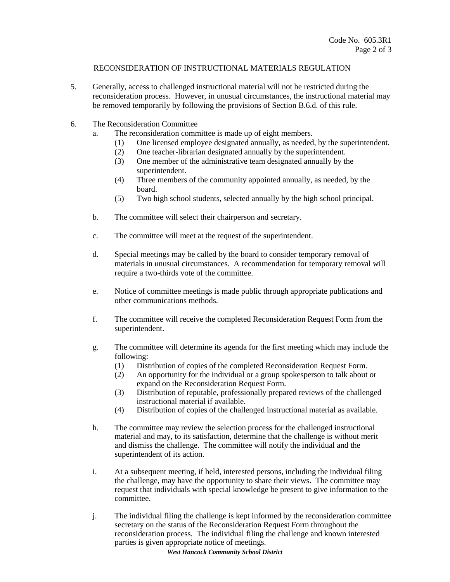## RECONSIDERATION OF INSTRUCTIONAL MATERIALS REGULATION

- 5. Generally, access to challenged instructional material will not be restricted during the reconsideration process. However, in unusual circumstances, the instructional material may be removed temporarily by following the provisions of Section B.6.d. of this rule.
- 6. The Reconsideration Committee
	- a. The reconsideration committee is made up of eight members.
		- (1) One licensed employee designated annually, as needed, by the superintendent.
		- (2) One teacher-librarian designated annually by the superintendent.
		- (3) One member of the administrative team designated annually by the superintendent.
		- (4) Three members of the community appointed annually, as needed, by the board.
		- (5) Two high school students, selected annually by the high school principal.
	- b. The committee will select their chairperson and secretary.
	- c. The committee will meet at the request of the superintendent.
	- d. Special meetings may be called by the board to consider temporary removal of materials in unusual circumstances. A recommendation for temporary removal will require a two-thirds vote of the committee.
	- e. Notice of committee meetings is made public through appropriate publications and other communications methods.
	- f. The committee will receive the completed Reconsideration Request Form from the superintendent.
	- g. The committee will determine its agenda for the first meeting which may include the following:
		- (1) Distribution of copies of the completed Reconsideration Request Form.
		- (2) An opportunity for the individual or a group spokesperson to talk about or expand on the Reconsideration Request Form.
		- (3) Distribution of reputable, professionally prepared reviews of the challenged instructional material if available.
		- (4) Distribution of copies of the challenged instructional material as available.
	- h. The committee may review the selection process for the challenged instructional material and may, to its satisfaction, determine that the challenge is without merit and dismiss the challenge. The committee will notify the individual and the superintendent of its action.
	- i. At a subsequent meeting, if held, interested persons, including the individual filing the challenge, may have the opportunity to share their views. The committee may request that individuals with special knowledge be present to give information to the committee.
	- j. The individual filing the challenge is kept informed by the reconsideration committee secretary on the status of the Reconsideration Request Form throughout the reconsideration process. The individual filing the challenge and known interested parties is given appropriate notice of meetings.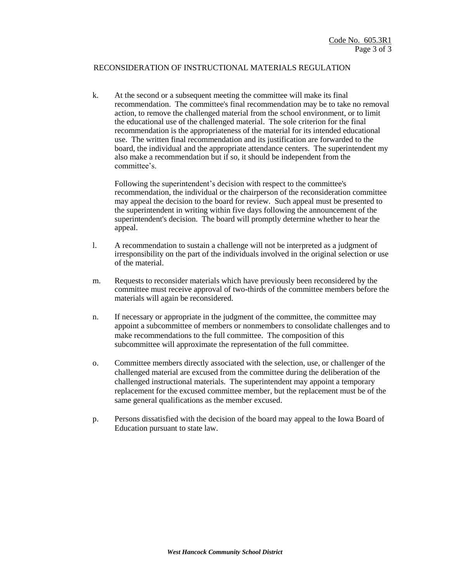#### RECONSIDERATION OF INSTRUCTIONAL MATERIALS REGULATION

k. At the second or a subsequent meeting the committee will make its final recommendation. The committee's final recommendation may be to take no removal action, to remove the challenged material from the school environment, or to limit the educational use of the challenged material. The sole criterion for the final recommendation is the appropriateness of the material for its intended educational use. The written final recommendation and its justification are forwarded to the board, the individual and the appropriate attendance centers. The superintendent my also make a recommendation but if so, it should be independent from the committee's.

Following the superintendent's decision with respect to the committee's recommendation, the individual or the chairperson of the reconsideration committee may appeal the decision to the board for review. Such appeal must be presented to the superintendent in writing within five days following the announcement of the superintendent's decision. The board will promptly determine whether to hear the appeal.

- l. A recommendation to sustain a challenge will not be interpreted as a judgment of irresponsibility on the part of the individuals involved in the original selection or use of the material.
- m. Requests to reconsider materials which have previously been reconsidered by the committee must receive approval of two-thirds of the committee members before the materials will again be reconsidered.
- n. If necessary or appropriate in the judgment of the committee, the committee may appoint a subcommittee of members or nonmembers to consolidate challenges and to make recommendations to the full committee. The composition of this subcommittee will approximate the representation of the full committee.
- o. Committee members directly associated with the selection, use, or challenger of the challenged material are excused from the committee during the deliberation of the challenged instructional materials. The superintendent may appoint a temporary replacement for the excused committee member, but the replacement must be of the same general qualifications as the member excused.
- p. Persons dissatisfied with the decision of the board may appeal to the Iowa Board of Education pursuant to state law.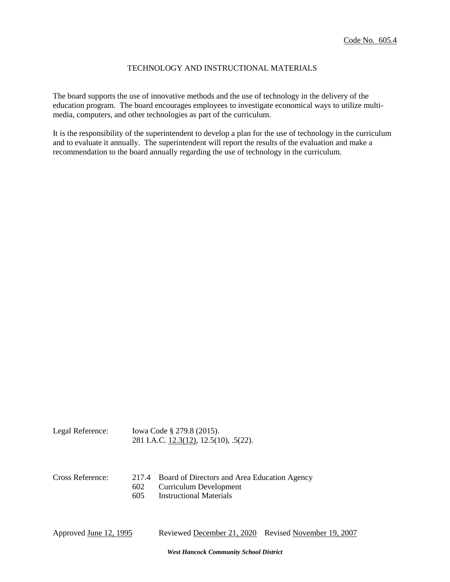### TECHNOLOGY AND INSTRUCTIONAL MATERIALS

The board supports the use of innovative methods and the use of technology in the delivery of the education program. The board encourages employees to investigate economical ways to utilize multimedia, computers, and other technologies as part of the curriculum.

It is the responsibility of the superintendent to develop a plan for the use of technology in the curriculum and to evaluate it annually. The superintendent will report the results of the evaluation and make a recommendation to the board annually regarding the use of technology in the curriculum.

| Legal Reference: | Iowa Code § 279.8 (2015).              |  |
|------------------|----------------------------------------|--|
|                  | 281 I.A.C. 12.3(12), 12.5(10), .5(22). |  |

| Cross Reference: | 217.4 Board of Directors and Area Education Agency |
|------------------|----------------------------------------------------|
|                  | 602 Curriculum Development                         |
|                  |                                                    |

605 Instructional Materials

Approved June 12, 1995 Reviewed December 21, 2020 Revised November 19, 2007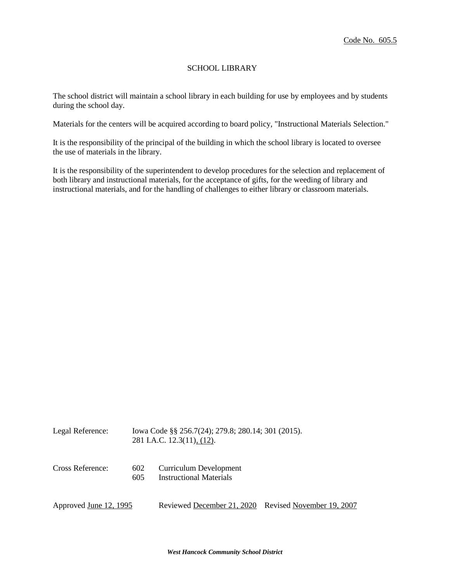### SCHOOL LIBRARY

The school district will maintain a school library in each building for use by employees and by students during the school day.

Materials for the centers will be acquired according to board policy, "Instructional Materials Selection."

It is the responsibility of the principal of the building in which the school library is located to oversee the use of materials in the library.

It is the responsibility of the superintendent to develop procedures for the selection and replacement of both library and instructional materials, for the acceptance of gifts, for the weeding of library and instructional materials, and for the handling of challenges to either library or classroom materials.

| Legal Reference:       |            | Iowa Code §§ 256.7(24); 279.8; 280.14; 301 (2015).<br>281 I.A.C. 12.3(11), (12). |  |  |
|------------------------|------------|----------------------------------------------------------------------------------|--|--|
| Cross Reference:       | 602<br>605 | Curriculum Development<br><b>Instructional Materials</b>                         |  |  |
| Approved June 12, 1995 |            | Reviewed December 21, 2020 Revised November 19, 2007                             |  |  |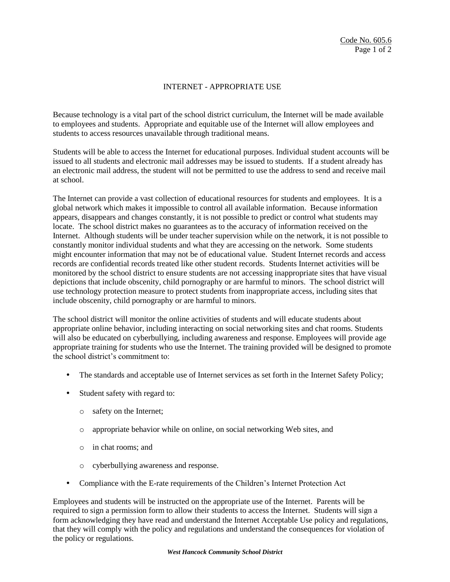# INTERNET - APPROPRIATE USE

Because technology is a vital part of the school district curriculum, the Internet will be made available to employees and students. Appropriate and equitable use of the Internet will allow employees and students to access resources unavailable through traditional means.

Students will be able to access the Internet for educational purposes. Individual student accounts will be issued to all students and electronic mail addresses may be issued to students. If a student already has an electronic mail address, the student will not be permitted to use the address to send and receive mail at school.

The Internet can provide a vast collection of educational resources for students and employees. It is a global network which makes it impossible to control all available information. Because information appears, disappears and changes constantly, it is not possible to predict or control what students may locate. The school district makes no guarantees as to the accuracy of information received on the Internet. Although students will be under teacher supervision while on the network, it is not possible to constantly monitor individual students and what they are accessing on the network. Some students might encounter information that may not be of educational value. Student Internet records and access records are confidential records treated like other student records. Students Internet activities will be monitored by the school district to ensure students are not accessing inappropriate sites that have visual depictions that include obscenity, child pornography or are harmful to minors. The school district will use technology protection measure to protect students from inappropriate access, including sites that include obscenity, child pornography or are harmful to minors.

The school district will monitor the online activities of students and will educate students about appropriate online behavior, including interacting on social networking sites and chat rooms. Students will also be educated on cyberbullying, including awareness and response. Employees will provide age appropriate training for students who use the Internet. The training provided will be designed to promote the school district's commitment to:

- The standards and acceptable use of Internet services as set forth in the Internet Safety Policy;
- Student safety with regard to:
	- o safety on the Internet;
	- o appropriate behavior while on online, on social networking Web sites, and
	- o in chat rooms; and
	- o cyberbullying awareness and response.
- Compliance with the E-rate requirements of the Children's Internet Protection Act

Employees and students will be instructed on the appropriate use of the Internet. Parents will be required to sign a permission form to allow their students to access the Internet. Students will sign a form acknowledging they have read and understand the Internet Acceptable Use policy and regulations, that they will comply with the policy and regulations and understand the consequences for violation of the policy or regulations.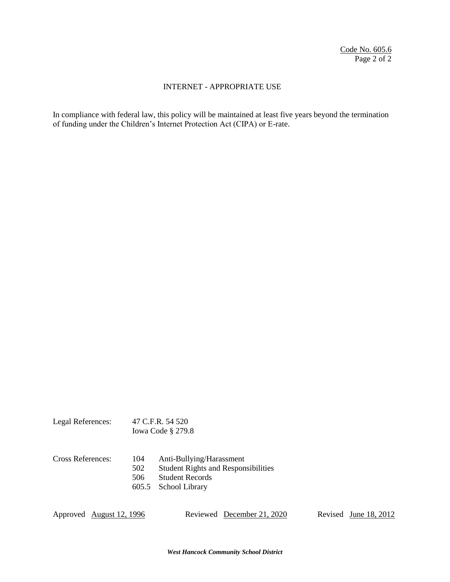## INTERNET - APPROPRIATE USE

In compliance with federal law, this policy will be maintained at least five years beyond the termination of funding under the Children's Internet Protection Act (CIPA) or E-rate.

|                   | Iowa Code $\S$ 279.8       |                                                                                                                    |  |
|-------------------|----------------------------|--------------------------------------------------------------------------------------------------------------------|--|
| Cross References: | 104<br>502<br>506<br>605.5 | Anti-Bullying/Harassment<br><b>Student Rights and Responsibilities</b><br><b>Student Records</b><br>School Library |  |

Legal References: 47 C.F.R. 54 520

Approved <u>August 12, 1996</u> Reviewed December 21, 2020 Revised June 18, 2012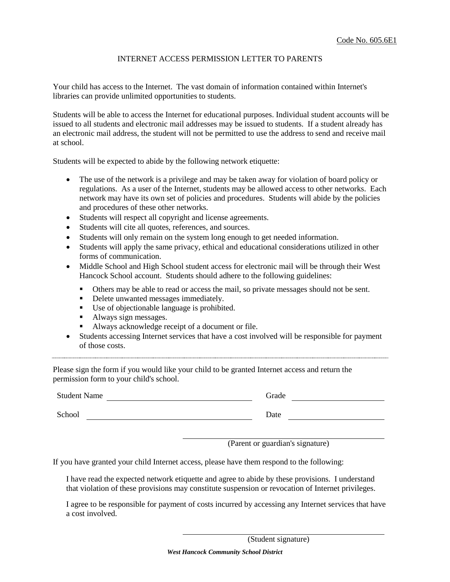### INTERNET ACCESS PERMISSION LETTER TO PARENTS

Your child has access to the Internet. The vast domain of information contained within Internet's libraries can provide unlimited opportunities to students.

Students will be able to access the Internet for educational purposes. Individual student accounts will be issued to all students and electronic mail addresses may be issued to students. If a student already has an electronic mail address, the student will not be permitted to use the address to send and receive mail at school.

Students will be expected to abide by the following network etiquette:

- The use of the network is a privilege and may be taken away for violation of board policy or regulations. As a user of the Internet, students may be allowed access to other networks. Each network may have its own set of policies and procedures. Students will abide by the policies and procedures of these other networks.
- Students will respect all copyright and license agreements.
- Students will cite all quotes, references, and sources.
- Students will only remain on the system long enough to get needed information.
- Students will apply the same privacy, ethical and educational considerations utilized in other forms of communication.
- Middle School and High School student access for electronic mail will be through their West Hancock School account. Students should adhere to the following guidelines:
	- Others may be able to read or access the mail, so private messages should not be sent.
	- Delete unwanted messages immediately.
	- Use of objectionable language is prohibited.
	- Always sign messages.
	- Always acknowledge receipt of a document or file.
- Students accessing Internet services that have a cost involved will be responsible for payment of those costs.

Please sign the form if you would like your child to be granted Internet access and return the permission form to your child's school.

Student Name Grade Grade Grade Grade Grade Grade Grade Grade Grade Grade Grade Grade Grade Grade Grade Grade Grade Grade Grade Grade Grade Grade Grade Grade Grade Grade Grade Grade Grade Grade Grade Grade Grade Grade Grade

School Date Date Date

(Parent or guardian's signature)

If you have granted your child Internet access, please have them respond to the following:

I have read the expected network etiquette and agree to abide by these provisions. I understand that violation of these provisions may constitute suspension or revocation of Internet privileges.

I agree to be responsible for payment of costs incurred by accessing any Internet services that have a cost involved.

(Student signature)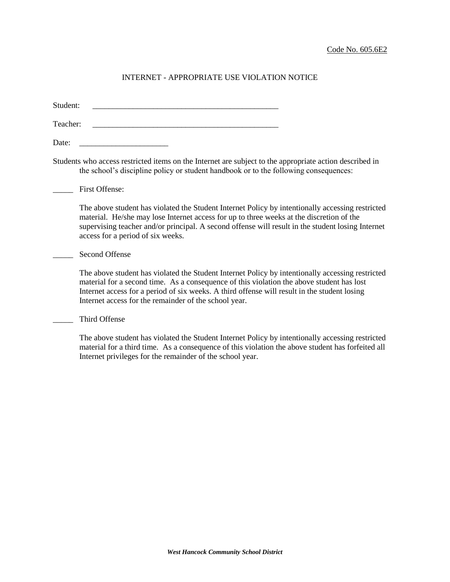Student:

Teacher:

Date: \_\_\_\_\_\_\_\_\_\_\_\_\_\_\_\_\_\_\_\_\_\_

Students who access restricted items on the Internet are subject to the appropriate action described in the school's discipline policy or student handbook or to the following consequences:

First Offense:

The above student has violated the Student Internet Policy by intentionally accessing restricted material. He/she may lose Internet access for up to three weeks at the discretion of the supervising teacher and/or principal. A second offense will result in the student losing Internet access for a period of six weeks.

#### Second Offense

The above student has violated the Student Internet Policy by intentionally accessing restricted material for a second time. As a consequence of this violation the above student has lost Internet access for a period of six weeks. A third offense will result in the student losing Internet access for the remainder of the school year.

\_\_\_\_\_ Third Offense

The above student has violated the Student Internet Policy by intentionally accessing restricted material for a third time. As a consequence of this violation the above student has forfeited all Internet privileges for the remainder of the school year.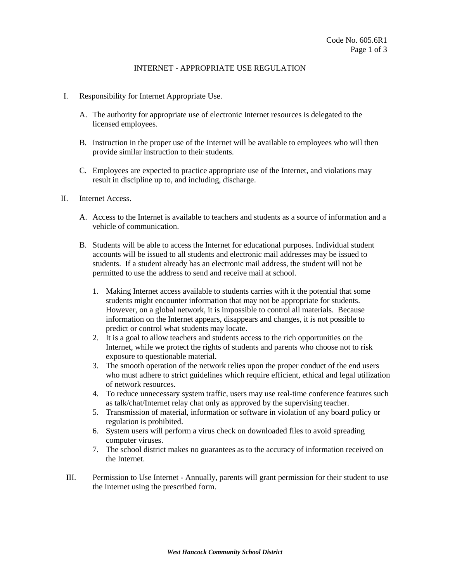## INTERNET - APPROPRIATE USE REGULATION

- I. Responsibility for Internet Appropriate Use.
	- A. The authority for appropriate use of electronic Internet resources is delegated to the licensed employees.
	- B. Instruction in the proper use of the Internet will be available to employees who will then provide similar instruction to their students.
	- C. Employees are expected to practice appropriate use of the Internet, and violations may result in discipline up to, and including, discharge.
- II. Internet Access.
	- A. Access to the Internet is available to teachers and students as a source of information and a vehicle of communication.
	- B. Students will be able to access the Internet for educational purposes. Individual student accounts will be issued to all students and electronic mail addresses may be issued to students. If a student already has an electronic mail address, the student will not be permitted to use the address to send and receive mail at school.
		- 1. Making Internet access available to students carries with it the potential that some students might encounter information that may not be appropriate for students. However, on a global network, it is impossible to control all materials. Because information on the Internet appears, disappears and changes, it is not possible to predict or control what students may locate.
		- 2. It is a goal to allow teachers and students access to the rich opportunities on the Internet, while we protect the rights of students and parents who choose not to risk exposure to questionable material.
		- 3. The smooth operation of the network relies upon the proper conduct of the end users who must adhere to strict guidelines which require efficient, ethical and legal utilization of network resources.
		- 4. To reduce unnecessary system traffic, users may use real-time conference features such as talk/chat/Internet relay chat only as approved by the supervising teacher.
		- 5. Transmission of material, information or software in violation of any board policy or regulation is prohibited.
		- 6. System users will perform a virus check on downloaded files to avoid spreading computer viruses.
		- 7. The school district makes no guarantees as to the accuracy of information received on the Internet.
	- III. Permission to Use Internet Annually, parents will grant permission for their student to use the Internet using the prescribed form.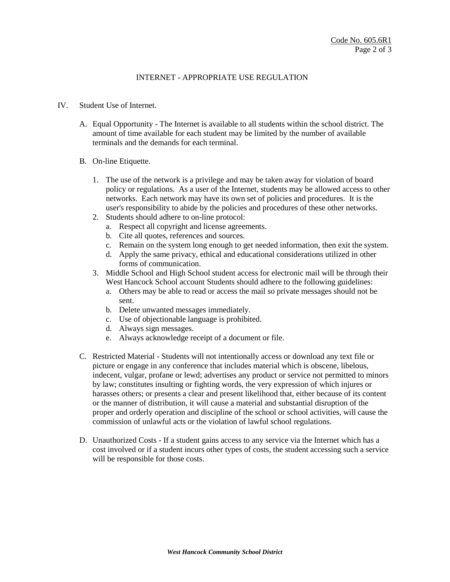## INTERNET - APPROPRIATE USE REGULATION

#### IV. Student Use of Internet.

- A. Equal Opportunity The Internet is available to all students within the school district. The amount of time available for each student may be limited by the number of available terminals and the demands for each terminal.
- B. On-line Etiquette.
	- 1. The use of the network is a privilege and may be taken away for violation of board policy or regulations. As a user of the Internet, students may be allowed access to other networks. Each network may have its own set of policies and procedures. It is the user's responsibility to abide by the policies and procedures of these other networks.
	- 2. Students should adhere to on-line protocol:
		- a. Respect all copyright and license agreements.
		- b. Cite all quotes, references and sources.
		- c. Remain on the system long enough to get needed information, then exit the system.
		- d. Apply the same privacy, ethical and educational considerations utilized in other forms of communication.
	- 3. Middle School and High School student access for electronic mail will be through their West Hancock School account Students should adhere to the following guidelines:
		- a. Others may be able to read or access the mail so private messages should not be sent.
		- b. Delete unwanted messages immediately.
		- c. Use of objectionable language is prohibited.
		- d. Always sign messages.
		- e. Always acknowledge receipt of a document or file.
- C. Restricted Material Students will not intentionally access or download any text file or picture or engage in any conference that includes material which is obscene, libelous, indecent, vulgar, profane or lewd; advertises any product or service not permitted to minors by law; constitutes insulting or fighting words, the very expression of which injures or harasses others; or presents a clear and present likelihood that, either because of its content or the manner of distribution, it will cause a material and substantial disruption of the proper and orderly operation and discipline of the school or school activities, will cause the commission of unlawful acts or the violation of lawful school regulations.
- D. Unauthorized Costs If a student gains access to any service via the Internet which has a cost involved or if a student incurs other types of costs, the student accessing such a service will be responsible for those costs.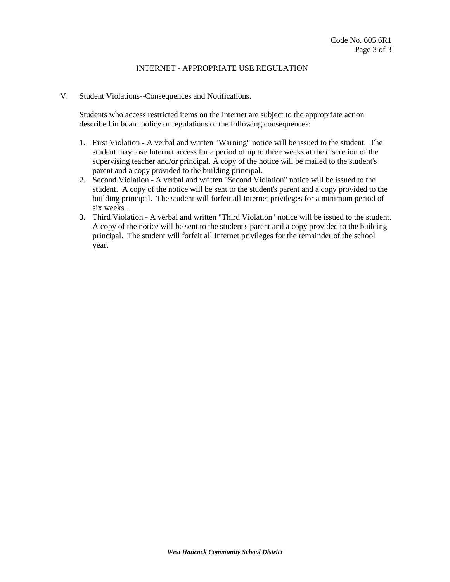### INTERNET - APPROPRIATE USE REGULATION

V. Student Violations--Consequences and Notifications.

Students who access restricted items on the Internet are subject to the appropriate action described in board policy or regulations or the following consequences:

- 1. First Violation A verbal and written "Warning" notice will be issued to the student. The student may lose Internet access for a period of up to three weeks at the discretion of the supervising teacher and/or principal. A copy of the notice will be mailed to the student's parent and a copy provided to the building principal.
- 2. Second Violation A verbal and written "Second Violation" notice will be issued to the student. A copy of the notice will be sent to the student's parent and a copy provided to the building principal. The student will forfeit all Internet privileges for a minimum period of six weeks..
- 3. Third Violation A verbal and written "Third Violation" notice will be issued to the student. A copy of the notice will be sent to the student's parent and a copy provided to the building principal. The student will forfeit all Internet privileges for the remainder of the school year.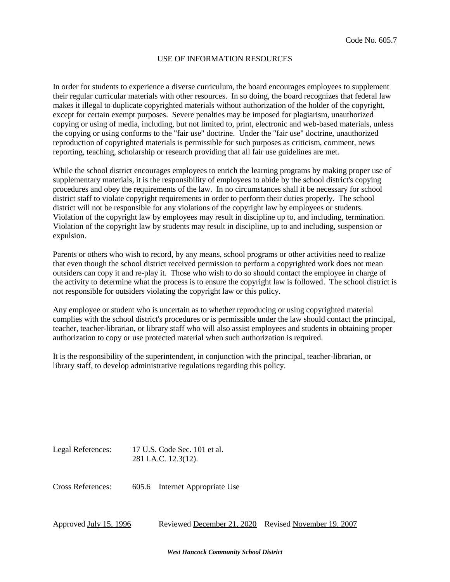#### USE OF INFORMATION RESOURCES

In order for students to experience a diverse curriculum, the board encourages employees to supplement their regular curricular materials with other resources. In so doing, the board recognizes that federal law makes it illegal to duplicate copyrighted materials without authorization of the holder of the copyright, except for certain exempt purposes. Severe penalties may be imposed for plagiarism, unauthorized copying or using of media, including, but not limited to, print, electronic and web-based materials, unless the copying or using conforms to the "fair use" doctrine. Under the "fair use" doctrine, unauthorized reproduction of copyrighted materials is permissible for such purposes as criticism, comment, news reporting, teaching, scholarship or research providing that all fair use guidelines are met.

While the school district encourages employees to enrich the learning programs by making proper use of supplementary materials, it is the responsibility of employees to abide by the school district's copying procedures and obey the requirements of the law. In no circumstances shall it be necessary for school district staff to violate copyright requirements in order to perform their duties properly. The school district will not be responsible for any violations of the copyright law by employees or students. Violation of the copyright law by employees may result in discipline up to, and including, termination. Violation of the copyright law by students may result in discipline, up to and including, suspension or expulsion.

Parents or others who wish to record, by any means, school programs or other activities need to realize that even though the school district received permission to perform a copyrighted work does not mean outsiders can copy it and re-play it. Those who wish to do so should contact the employee in charge of the activity to determine what the process is to ensure the copyright law is followed. The school district is not responsible for outsiders violating the copyright law or this policy.

Any employee or student who is uncertain as to whether reproducing or using copyrighted material complies with the school district's procedures or is permissible under the law should contact the principal, teacher, teacher-librarian, or library staff who will also assist employees and students in obtaining proper authorization to copy or use protected material when such authorization is required.

It is the responsibility of the superintendent, in conjunction with the principal, teacher-librarian, or library staff, to develop administrative regulations regarding this policy.

Legal References: 17 U.S. Code Sec. 101 et al. 281 I.A.C. 12.3(12).

Cross References: 605.6 Internet Appropriate Use

Approved July 15, 1996 Reviewed December 21, 2020 Revised November 19, 2007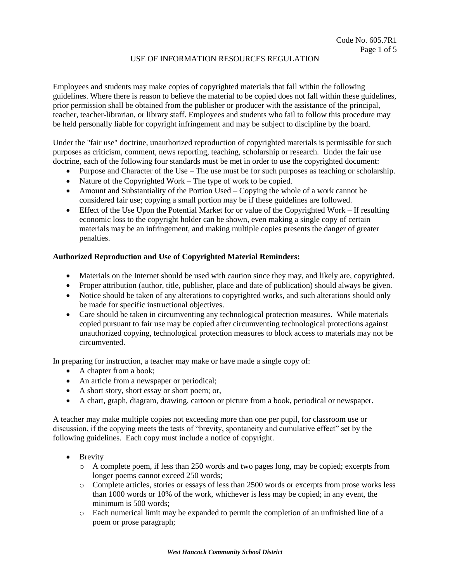## USE OF INFORMATION RESOURCES REGULATION

Employees and students may make copies of copyrighted materials that fall within the following guidelines. Where there is reason to believe the material to be copied does not fall within these guidelines, prior permission shall be obtained from the publisher or producer with the assistance of the principal, teacher, teacher-librarian, or library staff. Employees and students who fail to follow this procedure may be held personally liable for copyright infringement and may be subject to discipline by the board.

Under the "fair use" doctrine, unauthorized reproduction of copyrighted materials is permissible for such purposes as criticism, comment, news reporting, teaching, scholarship or research. Under the fair use doctrine, each of the following four standards must be met in order to use the copyrighted document:

- Purpose and Character of the Use The use must be for such purposes as teaching or scholarship.
- Nature of the Copyrighted Work The type of work to be copied.
- Amount and Substantiality of the Portion Used Copying the whole of a work cannot be considered fair use; copying a small portion may be if these guidelines are followed.
- Effect of the Use Upon the Potential Market for or value of the Copyrighted Work If resulting economic loss to the copyright holder can be shown, even making a single copy of certain materials may be an infringement, and making multiple copies presents the danger of greater penalties.

## **Authorized Reproduction and Use of Copyrighted Material Reminders:**

- Materials on the Internet should be used with caution since they may, and likely are, copyrighted.
- Proper attribution (author, title, publisher, place and date of publication) should always be given.
- Notice should be taken of any alterations to copyrighted works, and such alterations should only be made for specific instructional objectives.
- Care should be taken in circumventing any technological protection measures. While materials copied pursuant to fair use may be copied after circumventing technological protections against unauthorized copying, technological protection measures to block access to materials may not be circumvented.

In preparing for instruction, a teacher may make or have made a single copy of:

- A chapter from a book;
- An article from a newspaper or periodical;
- A short story, short essay or short poem; or,
- A chart, graph, diagram, drawing, cartoon or picture from a book, periodical or newspaper.

A teacher may make multiple copies not exceeding more than one per pupil, for classroom use or discussion, if the copying meets the tests of "brevity, spontaneity and cumulative effect" set by the following guidelines. Each copy must include a notice of copyright.

- Brevity
	- o A complete poem, if less than 250 words and two pages long, may be copied; excerpts from longer poems cannot exceed 250 words;
	- o Complete articles, stories or essays of less than 2500 words or excerpts from prose works less than 1000 words or 10% of the work, whichever is less may be copied; in any event, the minimum is 500 words;
	- o Each numerical limit may be expanded to permit the completion of an unfinished line of a poem or prose paragraph;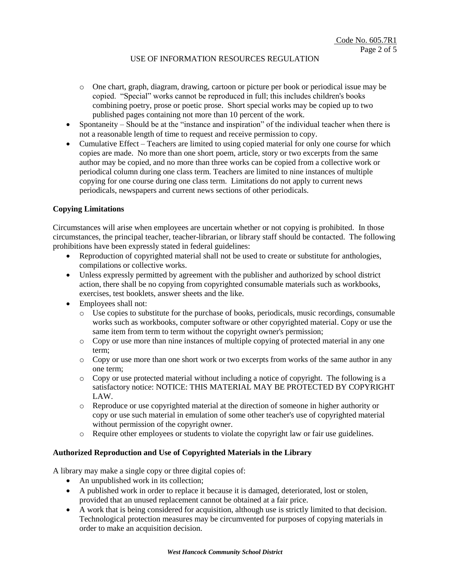# USE OF INFORMATION RESOURCES REGULATION

- o One chart, graph, diagram, drawing, cartoon or picture per book or periodical issue may be copied. "Special" works cannot be reproduced in full; this includes children's books combining poetry, prose or poetic prose. Short special works may be copied up to two published pages containing not more than 10 percent of the work.
- Spontaneity Should be at the "instance and inspiration" of the individual teacher when there is not a reasonable length of time to request and receive permission to copy.
- Cumulative Effect Teachers are limited to using copied material for only one course for which copies are made. No more than one short poem, article, story or two excerpts from the same author may be copied, and no more than three works can be copied from a collective work or periodical column during one class term. Teachers are limited to nine instances of multiple copying for one course during one class term. Limitations do not apply to current news periodicals, newspapers and current news sections of other periodicals.

## **Copying Limitations**

Circumstances will arise when employees are uncertain whether or not copying is prohibited. In those circumstances, the principal teacher, teacher-librarian, or library staff should be contacted. The following prohibitions have been expressly stated in federal guidelines:

- Reproduction of copyrighted material shall not be used to create or substitute for anthologies, compilations or collective works.
- Unless expressly permitted by agreement with the publisher and authorized by school district action, there shall be no copying from copyrighted consumable materials such as workbooks, exercises, test booklets, answer sheets and the like.
- Employees shall not:
	- o Use copies to substitute for the purchase of books, periodicals, music recordings, consumable works such as workbooks, computer software or other copyrighted material. Copy or use the same item from term to term without the copyright owner's permission;
	- o Copy or use more than nine instances of multiple copying of protected material in any one term;
	- o Copy or use more than one short work or two excerpts from works of the same author in any one term;
	- $\circ$  Copy or use protected material without including a notice of copyright. The following is a satisfactory notice: NOTICE: THIS MATERIAL MAY BE PROTECTED BY COPYRIGHT LAW.
	- o Reproduce or use copyrighted material at the direction of someone in higher authority or copy or use such material in emulation of some other teacher's use of copyrighted material without permission of the copyright owner.
	- o Require other employees or students to violate the copyright law or fair use guidelines.

### **Authorized Reproduction and Use of Copyrighted Materials in the Library**

A library may make a single copy or three digital copies of:

- An unpublished work in its collection;
- A published work in order to replace it because it is damaged, deteriorated, lost or stolen, provided that an unused replacement cannot be obtained at a fair price.
- A work that is being considered for acquisition, although use is strictly limited to that decision. Technological protection measures may be circumvented for purposes of copying materials in order to make an acquisition decision.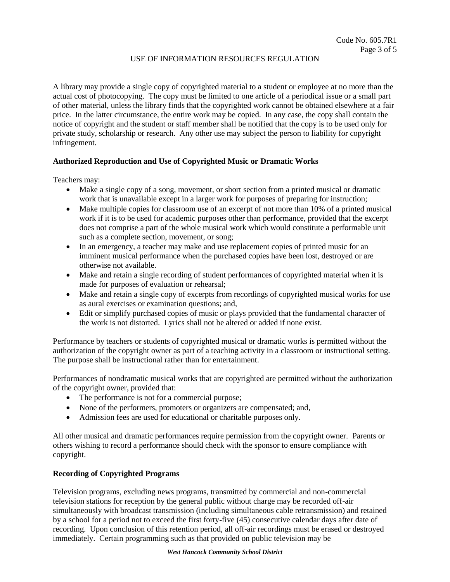# USE OF INFORMATION RESOURCES REGULATION

A library may provide a single copy of copyrighted material to a student or employee at no more than the actual cost of photocopying. The copy must be limited to one article of a periodical issue or a small part of other material, unless the library finds that the copyrighted work cannot be obtained elsewhere at a fair price. In the latter circumstance, the entire work may be copied. In any case, the copy shall contain the notice of copyright and the student or staff member shall be notified that the copy is to be used only for private study, scholarship or research. Any other use may subject the person to liability for copyright infringement.

## **Authorized Reproduction and Use of Copyrighted Music or Dramatic Works**

Teachers may:

- Make a single copy of a song, movement, or short section from a printed musical or dramatic work that is unavailable except in a larger work for purposes of preparing for instruction;
- Make multiple copies for classroom use of an excerpt of not more than 10% of a printed musical work if it is to be used for academic purposes other than performance, provided that the excerpt does not comprise a part of the whole musical work which would constitute a performable unit such as a complete section, movement, or song;
- In an emergency, a teacher may make and use replacement copies of printed music for an imminent musical performance when the purchased copies have been lost, destroyed or are otherwise not available.
- Make and retain a single recording of student performances of copyrighted material when it is made for purposes of evaluation or rehearsal;
- Make and retain a single copy of excerpts from recordings of copyrighted musical works for use as aural exercises or examination questions; and,
- Edit or simplify purchased copies of music or plays provided that the fundamental character of the work is not distorted. Lyrics shall not be altered or added if none exist.

Performance by teachers or students of copyrighted musical or dramatic works is permitted without the authorization of the copyright owner as part of a teaching activity in a classroom or instructional setting. The purpose shall be instructional rather than for entertainment.

Performances of nondramatic musical works that are copyrighted are permitted without the authorization of the copyright owner, provided that:

- The performance is not for a commercial purpose;
- None of the performers, promoters or organizers are compensated; and,
- Admission fees are used for educational or charitable purposes only.

All other musical and dramatic performances require permission from the copyright owner. Parents or others wishing to record a performance should check with the sponsor to ensure compliance with copyright.

#### **Recording of Copyrighted Programs**

Television programs, excluding news programs, transmitted by commercial and non-commercial television stations for reception by the general public without charge may be recorded off-air simultaneously with broadcast transmission (including simultaneous cable retransmission) and retained by a school for a period not to exceed the first forty-five (45) consecutive calendar days after date of recording. Upon conclusion of this retention period, all off-air recordings must be erased or destroyed immediately. Certain programming such as that provided on public television may be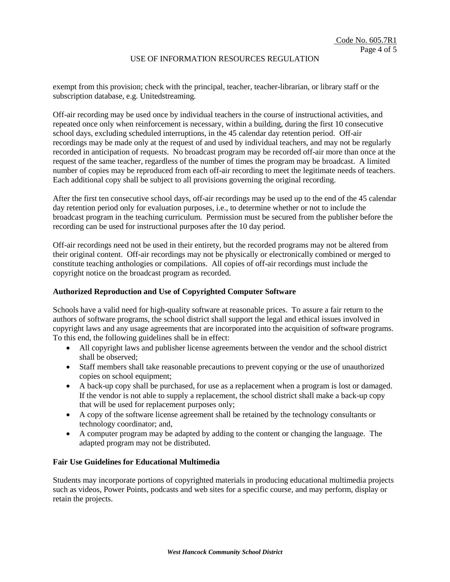#### USE OF INFORMATION RESOURCES REGULATION

exempt from this provision; check with the principal, teacher, teacher-librarian, or library staff or the subscription database, e.g. Unitedstreaming.

Off-air recording may be used once by individual teachers in the course of instructional activities, and repeated once only when reinforcement is necessary, within a building, during the first 10 consecutive school days, excluding scheduled interruptions, in the 45 calendar day retention period. Off-air recordings may be made only at the request of and used by individual teachers, and may not be regularly recorded in anticipation of requests. No broadcast program may be recorded off-air more than once at the request of the same teacher, regardless of the number of times the program may be broadcast. A limited number of copies may be reproduced from each off-air recording to meet the legitimate needs of teachers. Each additional copy shall be subject to all provisions governing the original recording.

After the first ten consecutive school days, off-air recordings may be used up to the end of the 45 calendar day retention period only for evaluation purposes, i.e., to determine whether or not to include the broadcast program in the teaching curriculum. Permission must be secured from the publisher before the recording can be used for instructional purposes after the 10 day period.

Off-air recordings need not be used in their entirety, but the recorded programs may not be altered from their original content. Off-air recordings may not be physically or electronically combined or merged to constitute teaching anthologies or compilations. All copies of off-air recordings must include the copyright notice on the broadcast program as recorded.

#### **Authorized Reproduction and Use of Copyrighted Computer Software**

Schools have a valid need for high-quality software at reasonable prices. To assure a fair return to the authors of software programs, the school district shall support the legal and ethical issues involved in copyright laws and any usage agreements that are incorporated into the acquisition of software programs. To this end, the following guidelines shall be in effect:

- All copyright laws and publisher license agreements between the vendor and the school district shall be observed;
- Staff members shall take reasonable precautions to prevent copying or the use of unauthorized copies on school equipment;
- A back-up copy shall be purchased, for use as a replacement when a program is lost or damaged. If the vendor is not able to supply a replacement, the school district shall make a back-up copy that will be used for replacement purposes only;
- A copy of the software license agreement shall be retained by the technology consultants or technology coordinator; and,
- A computer program may be adapted by adding to the content or changing the language. The adapted program may not be distributed.

#### **Fair Use Guidelines for Educational Multimedia**

Students may incorporate portions of copyrighted materials in producing educational multimedia projects such as videos, Power Points, podcasts and web sites for a specific course, and may perform, display or retain the projects.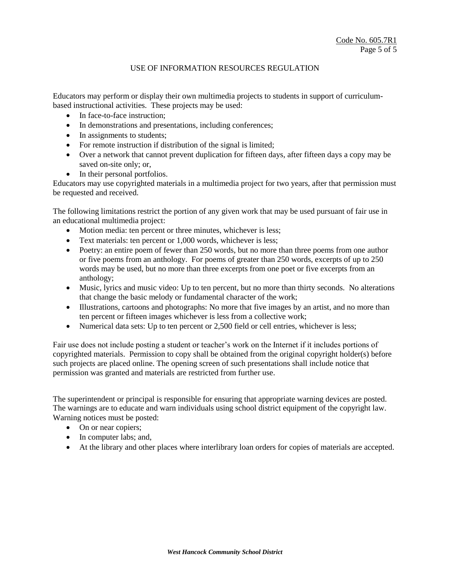### USE OF INFORMATION RESOURCES REGULATION

Educators may perform or display their own multimedia projects to students in support of curriculumbased instructional activities. These projects may be used:

- In face-to-face instruction;
- In demonstrations and presentations, including conferences;
- In assignments to students;
- For remote instruction if distribution of the signal is limited;
- Over a network that cannot prevent duplication for fifteen days, after fifteen days a copy may be saved on-site only; or,
- In their personal portfolios.

Educators may use copyrighted materials in a multimedia project for two years, after that permission must be requested and received.

The following limitations restrict the portion of any given work that may be used pursuant of fair use in an educational multimedia project:

- Motion media: ten percent or three minutes, whichever is less;
- Text materials: ten percent or 1,000 words, whichever is less;
- Poetry: an entire poem of fewer than 250 words, but no more than three poems from one author or five poems from an anthology. For poems of greater than 250 words, excerpts of up to 250 words may be used, but no more than three excerpts from one poet or five excerpts from an anthology;
- Music, lyrics and music video: Up to ten percent, but no more than thirty seconds. No alterations that change the basic melody or fundamental character of the work;
- Illustrations, cartoons and photographs: No more that five images by an artist, and no more than ten percent or fifteen images whichever is less from a collective work;
- Numerical data sets: Up to ten percent or 2,500 field or cell entries, whichever is less;

Fair use does not include posting a student or teacher's work on the Internet if it includes portions of copyrighted materials. Permission to copy shall be obtained from the original copyright holder(s) before such projects are placed online. The opening screen of such presentations shall include notice that permission was granted and materials are restricted from further use.

The superintendent or principal is responsible for ensuring that appropriate warning devices are posted. The warnings are to educate and warn individuals using school district equipment of the copyright law. Warning notices must be posted:

- On or near copiers;
- In computer labs; and,
- At the library and other places where interlibrary loan orders for copies of materials are accepted.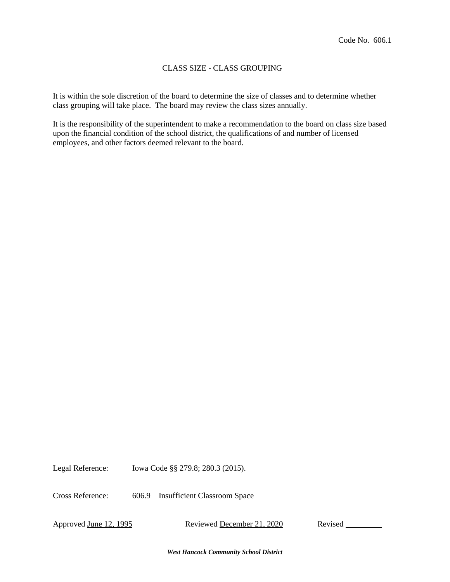### CLASS SIZE - CLASS GROUPING

It is within the sole discretion of the board to determine the size of classes and to determine whether class grouping will take place. The board may review the class sizes annually.

It is the responsibility of the superintendent to make a recommendation to the board on class size based upon the financial condition of the school district, the qualifications of and number of licensed employees, and other factors deemed relevant to the board.

Legal Reference: Iowa Code §§ 279.8; 280.3 (2015).

Cross Reference: 606.9 Insufficient Classroom Space

Approved June 12, 1995 Reviewed December 21, 2020 Revised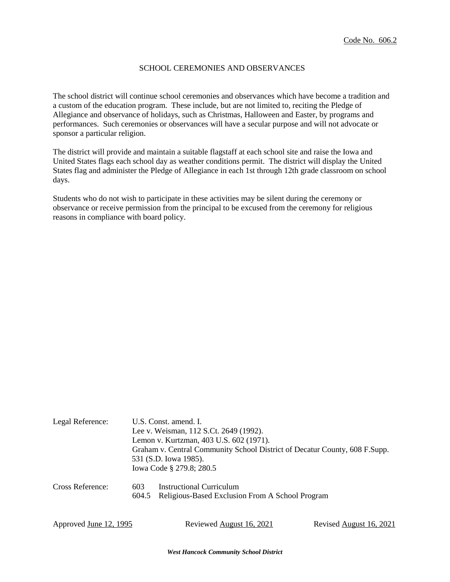### SCHOOL CEREMONIES AND OBSERVANCES

The school district will continue school ceremonies and observances which have become a tradition and a custom of the education program. These include, but are not limited to, reciting the Pledge of Allegiance and observance of holidays, such as Christmas, Halloween and Easter, by programs and performances. Such ceremonies or observances will have a secular purpose and will not advocate or sponsor a particular religion.

The district will provide and maintain a suitable flagstaff at each school site and raise the Iowa and United States flags each school day as weather conditions permit. The district will display the United States flag and administer the Pledge of Allegiance in each 1st through 12th grade classroom on school days.

Students who do not wish to participate in these activities may be silent during the ceremony or observance or receive permission from the principal to be excused from the ceremony for religious reasons in compliance with board policy.

| Legal Reference: | U.S. Const. amend. I.                                                      |  |  |  |
|------------------|----------------------------------------------------------------------------|--|--|--|
|                  | Lee v. Weisman, 112 S.Ct. 2649 (1992).                                     |  |  |  |
|                  | Lemon v. Kurtzman, 403 U.S. 602 (1971).                                    |  |  |  |
|                  | Graham v. Central Community School District of Decatur County, 608 F.Supp. |  |  |  |
|                  | 531 (S.D. Iowa 1985).                                                      |  |  |  |
|                  | Iowa Code § 279.8; 280.5                                                   |  |  |  |
| Cross Reference: | <b>Instructional Curriculum</b><br>603                                     |  |  |  |
|                  | Religious-Based Exclusion From A School Program<br>604.5                   |  |  |  |
|                  |                                                                            |  |  |  |
|                  |                                                                            |  |  |  |

| Approved <u>June 12, 1995</u> | Reviewed August 16, 2021 | Revised August 16, 2021 |
|-------------------------------|--------------------------|-------------------------|
|                               |                          |                         |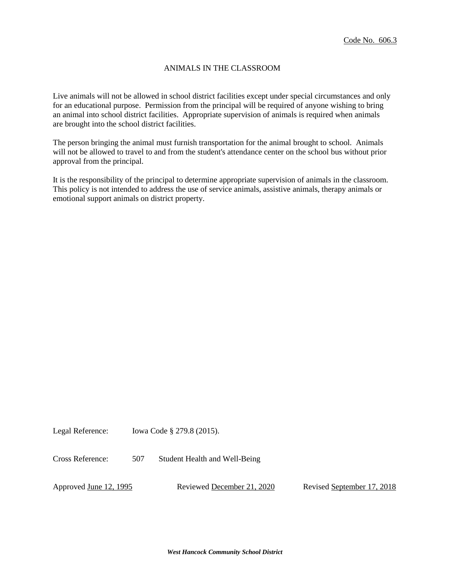### ANIMALS IN THE CLASSROOM

Live animals will not be allowed in school district facilities except under special circumstances and only for an educational purpose. Permission from the principal will be required of anyone wishing to bring an animal into school district facilities. Appropriate supervision of animals is required when animals are brought into the school district facilities.

The person bringing the animal must furnish transportation for the animal brought to school. Animals will not be allowed to travel to and from the student's attendance center on the school bus without prior approval from the principal.

It is the responsibility of the principal to determine appropriate supervision of animals in the classroom. This policy is not intended to address the use of service animals, assistive animals, therapy animals or emotional support animals on district property.

Legal Reference: Iowa Code § 279.8 (2015).

Cross Reference: 507 Student Health and Well-Being

Approved June 12, 1995 Reviewed December 21, 2020 Revised September 17, 2018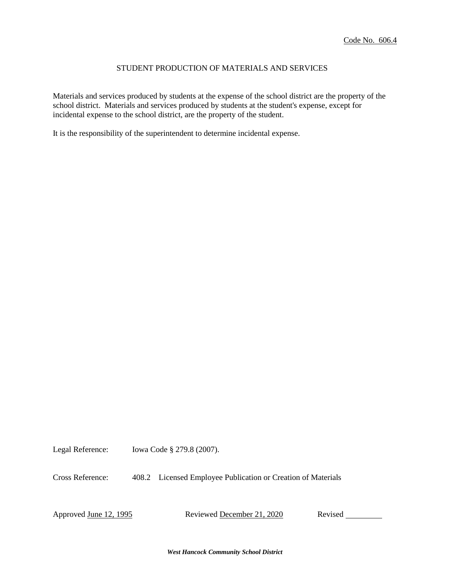### STUDENT PRODUCTION OF MATERIALS AND SERVICES

Materials and services produced by students at the expense of the school district are the property of the school district. Materials and services produced by students at the student's expense, except for incidental expense to the school district, are the property of the student.

It is the responsibility of the superintendent to determine incidental expense.

Legal Reference: Iowa Code § 279.8 (2007).

Cross Reference: 408.2 Licensed Employee Publication or Creation of Materials

Approved June 12, 1995 Reviewed December 21, 2020 Revised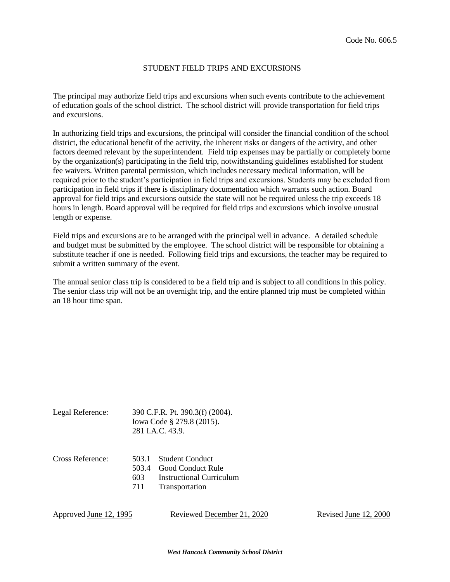### STUDENT FIELD TRIPS AND EXCURSIONS

The principal may authorize field trips and excursions when such events contribute to the achievement of education goals of the school district. The school district will provide transportation for field trips and excursions.

In authorizing field trips and excursions, the principal will consider the financial condition of the school district, the educational benefit of the activity, the inherent risks or dangers of the activity, and other factors deemed relevant by the superintendent. Field trip expenses may be partially or completely borne by the organization(s) participating in the field trip, notwithstanding guidelines established for student fee waivers. Written parental permission, which includes necessary medical information, will be required prior to the student's participation in field trips and excursions. Students may be excluded from participation in field trips if there is disciplinary documentation which warrants such action. Board approval for field trips and excursions outside the state will not be required unless the trip exceeds 18 hours in length. Board approval will be required for field trips and excursions which involve unusual length or expense.

Field trips and excursions are to be arranged with the principal well in advance. A detailed schedule and budget must be submitted by the employee. The school district will be responsible for obtaining a substitute teacher if one is needed. Following field trips and excursions, the teacher may be required to submit a written summary of the event.

The annual senior class trip is considered to be a field trip and is subject to all conditions in this policy. The senior class trip will not be an overnight trip, and the entire planned trip must be completed within an 18 hour time span.

| Legal Reference: | 390 C.F.R. Pt. 390.3(f) (2004). |
|------------------|---------------------------------|
|                  | lowa Code § 279.8 (2015).       |
|                  | 281 LA.C. 43.9.                 |
|                  |                                 |

| Cross Reference: | 503.1 Student Conduct        |
|------------------|------------------------------|
|                  | 503.4 Good Conduct Rule      |
|                  | 603 Instructional Curriculum |
|                  | 711 Transportation           |

Approved June 12, 1995 Reviewed December 21, 2020 Revised June 12, 2000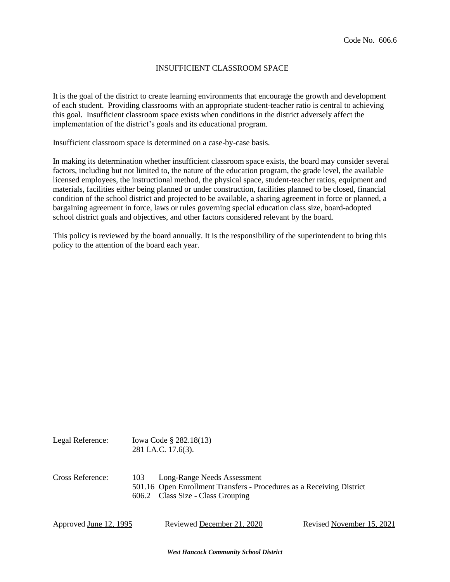#### INSUFFICIENT CLASSROOM SPACE

It is the goal of the district to create learning environments that encourage the growth and development of each student. Providing classrooms with an appropriate student-teacher ratio is central to achieving this goal. Insufficient classroom space exists when conditions in the district adversely affect the implementation of the district's goals and its educational program.

Insufficient classroom space is determined on a case-by-case basis.

In making its determination whether insufficient classroom space exists, the board may consider several factors, including but not limited to, the nature of the education program, the grade level, the available licensed employees, the instructional method, the physical space, student-teacher ratios, equipment and materials, facilities either being planned or under construction, facilities planned to be closed, financial condition of the school district and projected to be available, a sharing agreement in force or planned, a bargaining agreement in force, laws or rules governing special education class size, board-adopted school district goals and objectives, and other factors considered relevant by the board.

This policy is reviewed by the board annually. It is the responsibility of the superintendent to bring this policy to the attention of the board each year.

| Legal Reference: | Iowa Code § 282.18(13)<br>281 I.A.C. 17.6(3).                                                                                                    |
|------------------|--------------------------------------------------------------------------------------------------------------------------------------------------|
| Cross Reference: | Long-Range Needs Assessment<br>103<br>501.16 Open Enrollment Transfers - Procedures as a Receiving District<br>606.2 Class Size - Class Grouping |

*West Hancock Community School District*

Approved June 12, 1995 Reviewed December 21, 2020 Revised November 15, 2021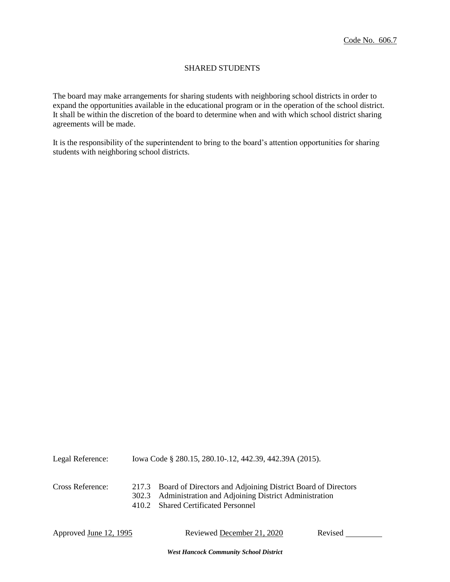## SHARED STUDENTS

The board may make arrangements for sharing students with neighboring school districts in order to expand the opportunities available in the educational program or in the operation of the school district. It shall be within the discretion of the board to determine when and with which school district sharing agreements will be made.

It is the responsibility of the superintendent to bring to the board's attention opportunities for sharing students with neighboring school districts.

| Legal Reference: | Iowa Code § 280.15, 280.10-.12, 442.39, 442.39A (2015).                                                                                                                 |  |  |
|------------------|-------------------------------------------------------------------------------------------------------------------------------------------------------------------------|--|--|
| Cross Reference: | 217.3 Board of Directors and Adjoining District Board of Directors<br>302.3 Administration and Adjoining District Administration<br>410.2 Shared Certificated Personnel |  |  |

| Approved <u>June 12, 1995</u> | Reviewed December 21, 2020 | Revised |  |
|-------------------------------|----------------------------|---------|--|
|-------------------------------|----------------------------|---------|--|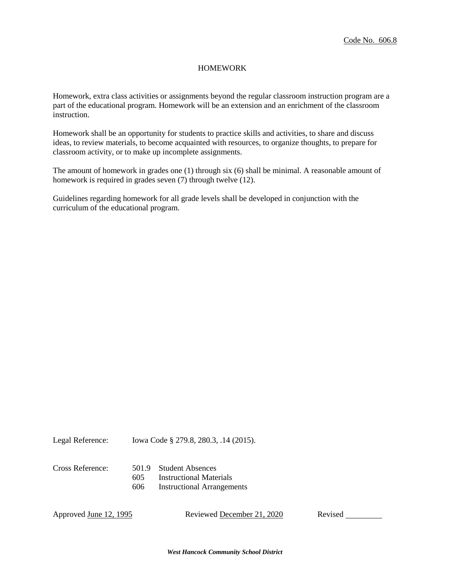#### HOMEWORK

Homework, extra class activities or assignments beyond the regular classroom instruction program are a part of the educational program. Homework will be an extension and an enrichment of the classroom instruction.

Homework shall be an opportunity for students to practice skills and activities, to share and discuss ideas, to review materials, to become acquainted with resources, to organize thoughts, to prepare for classroom activity, or to make up incomplete assignments.

The amount of homework in grades one (1) through six (6) shall be minimal. A reasonable amount of homework is required in grades seven (7) through twelve (12).

Guidelines regarding homework for all grade levels shall be developed in conjunction with the curriculum of the educational program.

Legal Reference: Iowa Code § 279.8, 280.3, .14 (2015).

| Cross Reference: |      | 501.9 Student Absences            |
|------------------|------|-----------------------------------|
|                  | 605  | Instructional Materials           |
|                  | 606. | <b>Instructional Arrangements</b> |

Approved June 12, 1995 Reviewed December 21, 2020 Revised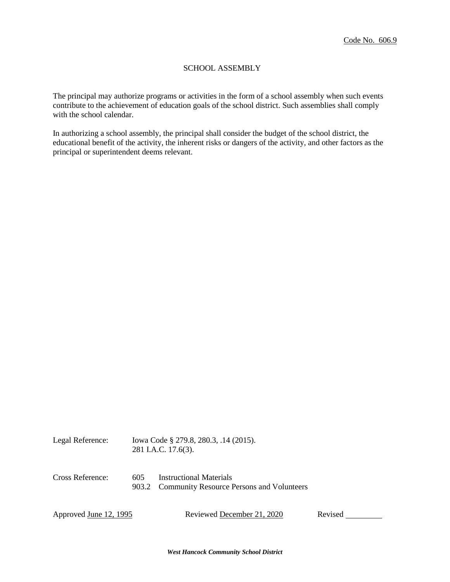### SCHOOL ASSEMBLY

The principal may authorize programs or activities in the form of a school assembly when such events contribute to the achievement of education goals of the school district. Such assemblies shall comply with the school calendar.

In authorizing a school assembly, the principal shall consider the budget of the school district, the educational benefit of the activity, the inherent risks or dangers of the activity, and other factors as the principal or superintendent deems relevant.

| Legal Reference:       | Iowa Code § 279.8, 280.3, .14 (2015).<br>281 I.A.C. 17.6(3). |                                                                                   |         |
|------------------------|--------------------------------------------------------------|-----------------------------------------------------------------------------------|---------|
| Cross Reference:       | 605                                                          | <b>Instructional Materials</b><br>903.2 Community Resource Persons and Volunteers |         |
| Approved June 12, 1995 |                                                              | Reviewed December 21, 2020                                                        | Revised |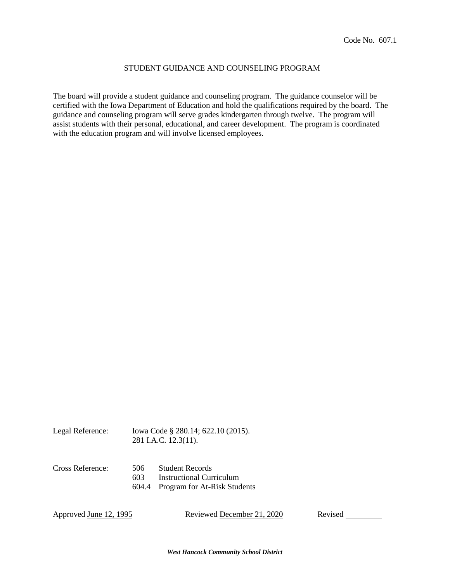### STUDENT GUIDANCE AND COUNSELING PROGRAM

The board will provide a student guidance and counseling program. The guidance counselor will be certified with the Iowa Department of Education and hold the qualifications required by the board. The guidance and counseling program will serve grades kindergarten through twelve. The program will assist students with their personal, educational, and career development. The program is coordinated with the education program and will involve licensed employees.

| Legal Reference: | Iowa Code § 280.14; 622.10 (2015).<br>281 I.A.C. 12.3(11). |                                                                                           |
|------------------|------------------------------------------------------------|-------------------------------------------------------------------------------------------|
| Cross Reference: | 506<br>603<br>604.4                                        | <b>Student Records</b><br><b>Instructional Curriculum</b><br>Program for At-Risk Students |

Approved June 12, 1995 Reviewed December 21, 2020 Revised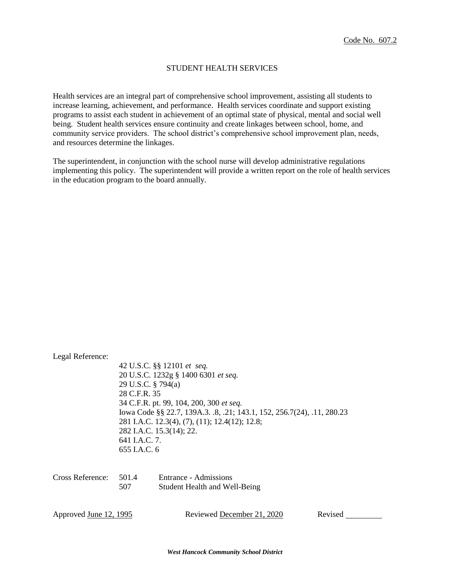### STUDENT HEALTH SERVICES

Health services are an integral part of comprehensive school improvement, assisting all students to increase learning, achievement, and performance. Health services coordinate and support existing programs to assist each student in achievement of an optimal state of physical, mental and social well being. Student health services ensure continuity and create linkages between school, home, and community service providers. The school district's comprehensive school improvement plan, needs, and resources determine the linkages.

The superintendent, in conjunction with the school nurse will develop administrative regulations implementing this policy. The superintendent will provide a written report on the role of health services in the education program to the board annually.

| Legal Reference:              | 29 U.S.C. § 794(a)<br>28 C.F.R. 35 | 42 U.S.C. §§ 12101 et seq.<br>20 U.S.C. 1232g § 1400 6301 et seq.<br>34 C.F.R. pt. 99, 104, 200, 300 et seq.<br>Iowa Code §§ 22.7, 139A.3. .8, .21; 143.1, 152, 256.7(24), .11, 280.23 |         |
|-------------------------------|------------------------------------|----------------------------------------------------------------------------------------------------------------------------------------------------------------------------------------|---------|
|                               | 641 J.A.C. 7.<br>655 J.A.C. 6      | 281 I.A.C. 12.3(4), (7), (11); 12.4(12); 12.8;<br>282 I.A.C. 15.3(14); 22.                                                                                                             |         |
| Cross Reference:              | 501.4<br>507                       | Entrance - Admissions<br><b>Student Health and Well-Being</b>                                                                                                                          |         |
| Approved <u>June 12, 1995</u> |                                    | Reviewed December 21, 2020                                                                                                                                                             | Revised |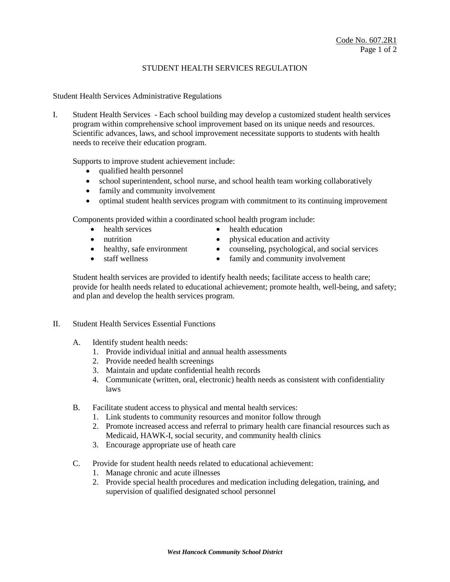### STUDENT HEALTH SERVICES REGULATION

Student Health Services Administrative Regulations

I. Student Health Services - Each school building may develop a customized student health services program within comprehensive school improvement based on its unique needs and resources. Scientific advances, laws, and school improvement necessitate supports to students with health needs to receive their education program.

Supports to improve student achievement include:

- qualified health personnel
- school superintendent, school nurse, and school health team working collaboratively
- family and community involvement
- optimal student health services program with commitment to its continuing improvement

Components provided within a coordinated school health program include:

- health services health education
	-
- 
- nutrition physical education and activity
- healthy, safe environment <br>• counseling, psychological, and social services
- staff wellness family and community involvement
	-

Student health services are provided to identify health needs; facilitate access to health care; provide for health needs related to educational achievement; promote health, well-being, and safety; and plan and develop the health services program.

- II. Student Health Services Essential Functions
	- A. Identify student health needs:
		- 1. Provide individual initial and annual health assessments
		- 2. Provide needed health screenings
		- 3. Maintain and update confidential health records
		- 4. Communicate (written, oral, electronic) health needs as consistent with confidentiality laws
	- B. Facilitate student access to physical and mental health services:
		- 1. Link students to community resources and monitor follow through
		- 2. Promote increased access and referral to primary health care financial resources such as Medicaid, HAWK-I, social security, and community health clinics
		- 3. Encourage appropriate use of heath care
	- C. Provide for student health needs related to educational achievement:
		- 1. Manage chronic and acute illnesses
		- 2. Provide special health procedures and medication including delegation, training, and supervision of qualified designated school personnel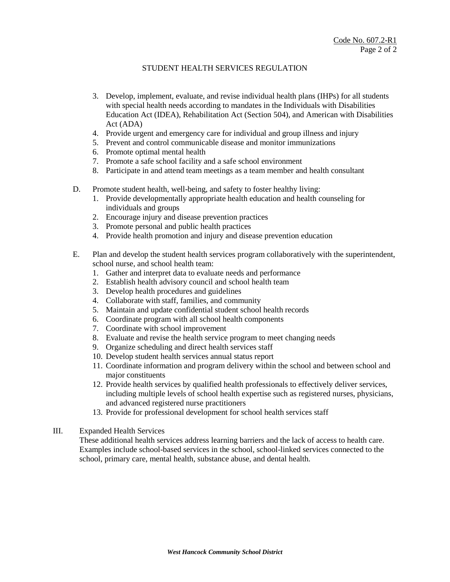# STUDENT HEALTH SERVICES REGULATION

- 3. Develop, implement, evaluate, and revise individual health plans (IHPs) for all students with special health needs according to mandates in the Individuals with Disabilities Education Act (IDEA), Rehabilitation Act (Section 504), and American with Disabilities Act (ADA)
- 4. Provide urgent and emergency care for individual and group illness and injury
- 5. Prevent and control communicable disease and monitor immunizations
- 6. Promote optimal mental health
- 7. Promote a safe school facility and a safe school environment
- 8. Participate in and attend team meetings as a team member and health consultant
- D. Promote student health, well-being, and safety to foster healthy living:
	- 1. Provide developmentally appropriate health education and health counseling for individuals and groups
	- 2. Encourage injury and disease prevention practices
	- 3. Promote personal and public health practices
	- 4. Provide health promotion and injury and disease prevention education
- E. Plan and develop the student health services program collaboratively with the superintendent, school nurse, and school health team:
	- 1. Gather and interpret data to evaluate needs and performance
	- 2. Establish health advisory council and school health team
	- 3. Develop health procedures and guidelines
	- 4. Collaborate with staff, families, and community
	- 5. Maintain and update confidential student school health records
	- 6. Coordinate program with all school health components
	- 7. Coordinate with school improvement
	- 8. Evaluate and revise the health service program to meet changing needs
	- 9. Organize scheduling and direct health services staff
	- 10. Develop student health services annual status report
	- 11. Coordinate information and program delivery within the school and between school and major constituents
	- 12. Provide health services by qualified health professionals to effectively deliver services, including multiple levels of school health expertise such as registered nurses, physicians, and advanced registered nurse practitioners
	- 13. Provide for professional development for school health services staff
- III. Expanded Health Services

These additional health services address learning barriers and the lack of access to health care. Examples include school-based services in the school, school-linked services connected to the school, primary care, mental health, substance abuse, and dental health.